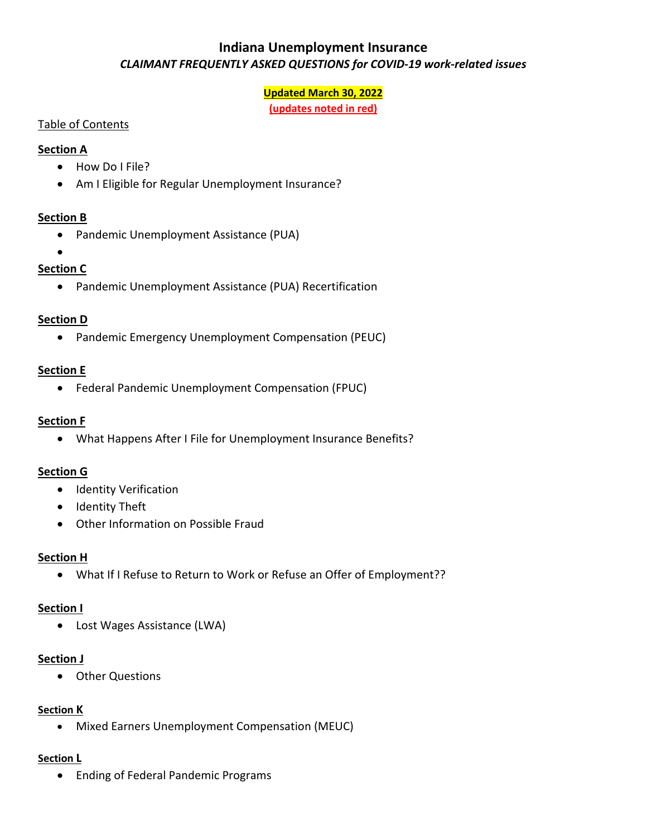#### **Updated March 30, 2022**

**(updates noted in red)**

#### <span id="page-0-0"></span>Table of Contents

#### **[Section A](#page-1-0)**

- How Do I File?
- Am I Eligible for Regular Unemployment Insurance?

### **[Section B](#page-4-0)**

- Pandemic Unemployment Assistance (PUA)
- •

# **[Section C](#page-10-0)**

• Pandemic Unemployment Assistance (PUA) Recertification

### **[Section D](#page-12-0)**

• Pandemic Emergency Unemployment Compensation (PEUC)

### **Section E**

• Federal Pandemic Unemployment Compensation (FPUC)

#### **[Section F](#page-14-0)**

• What Happens After I File for Unemployment Insurance Benefits?

#### **[Section G](#page-17-0)**

- Identity Verification
- Identity Theft
- Other Information on Possible Fraud

#### **Section H**

• What If I Refuse to Return to Work or Refuse an Offer of Employment??

#### **[Section I](#page-21-0)**

• Lost Wages Assistance (LWA)

#### **[Section J](#page-22-0)**

• Other Questions

#### **[Section K](#page-25-0)**

• Mixed Earners Unemployment Compensation (MEUC)

#### **[Section L](#page-27-0)**

• Ending of Federal Pandemic Programs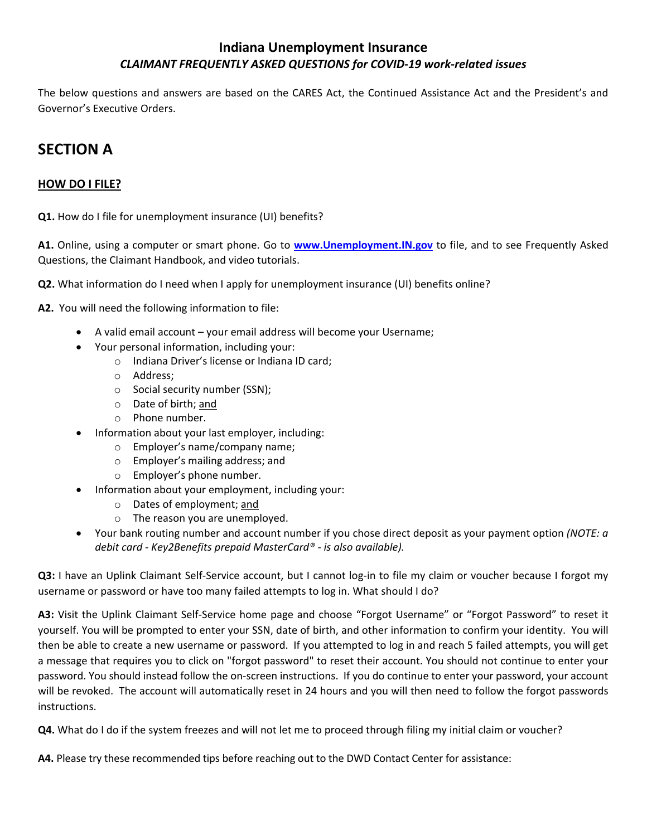The below questions and answers are based on the CARES Act, the Continued Assistance Act and the President's and Governor's Executive Orders.

# <span id="page-1-0"></span>**SECTION A**

#### **HOW DO I FILE?**

**Q1.** How do I file for unemployment insurance (UI) benefits?

**A1.** Online, using a computer or smart phone. Go to **[www.Unemployment.IN.gov](http://www.unemployment.in.gov/)** to file, and to see Frequently Asked Questions, the Claimant Handbook, and video tutorials.

**Q2.** What information do I need when I apply for unemployment insurance (UI) benefits online?

**A2.** You will need the following information to file:

- A valid email account your email address will become your Username;
- Your personal information, including your:
	- o Indiana Driver's license or Indiana ID card;
	- o Address;
	- o Social security number (SSN);
	- o Date of birth; and
	- o Phone number.
- Information about your last employer, including:
	- o Employer's name/company name;
	- o Employer's mailing address; and
	- o Employer's phone number.
- Information about your employment, including your:
	- o Dates of employment; and
	- o The reason you are unemployed.
- Your bank routing number and account number if you chose direct deposit as your payment option *(NOTE: a debit card - Key2Benefits prepaid MasterCard® - is also available).*

**Q3:** I have an Uplink Claimant Self-Service account, but I cannot log-in to file my claim or voucher because I forgot my username or password or have too many failed attempts to log in. What should I do?

**A3:** Visit the Uplink Claimant Self-Service home page and choose "Forgot Username" or "Forgot Password" to reset it yourself. You will be prompted to enter your SSN, date of birth, and other information to confirm your identity. You will then be able to create a new username or password. If you attempted to log in and reach 5 failed attempts, you will get a message that requires you to click on "forgot password" to reset their account. You should not continue to enter your password. You should instead follow the on-screen instructions. If you do continue to enter your password, your account will be revoked. The account will automatically reset in 24 hours and you will then need to follow the forgot passwords instructions.

**Q4.** What do I do if the system freezes and will not let me to proceed through filing my initial claim or voucher?

**A4.** Please try these recommended tips before reaching out to the DWD Contact Center for assistance: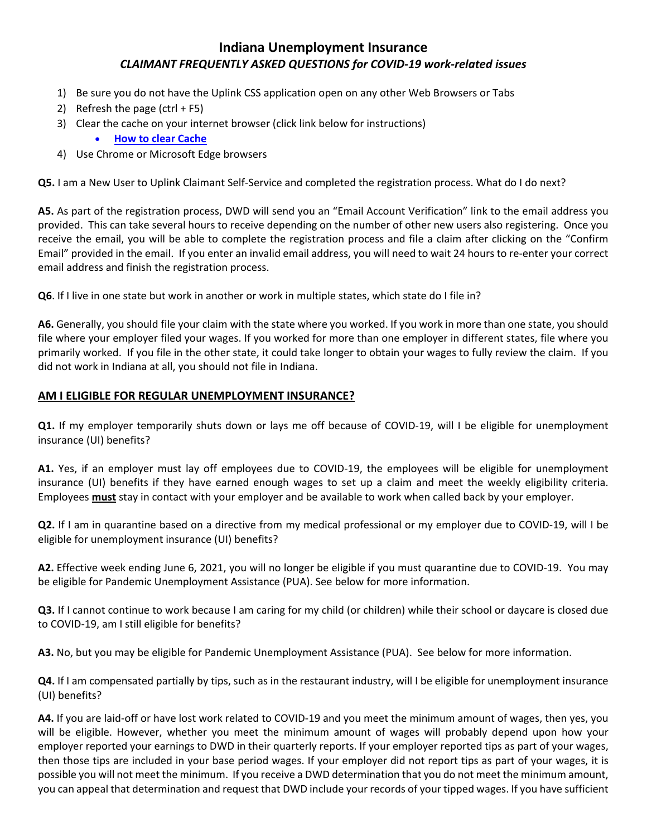- 1) Be sure you do not have the Uplink CSS application open on any other Web Browsers or Tabs
- 2) Refresh the page  $(\text{ctrl} + F5)$
- 3) Clear the cache on your internet browser (click link below for instructions)
	- **[How to clear Cache](https://us.norton.com/internetsecurity-privacy-how-to-clear-cookies.html#candroid)**
- 4) Use Chrome or Microsoft Edge browsers

**Q5.** I am a New User to Uplink Claimant Self-Service and completed the registration process. What do I do next?

**A5.** As part of the registration process, DWD will send you an "Email Account Verification" link to the email address you provided. This can take several hours to receive depending on the number of other new users also registering. Once you receive the email, you will be able to complete the registration process and file a claim after clicking on the "Confirm Email" provided in the email. If you enter an invalid email address, you will need to wait 24 hours to re-enter your correct email address and finish the registration process.

**Q6**. If I live in one state but work in another or work in multiple states, which state do I file in?

**A6.** Generally, you should file your claim with the state where you worked. If you work in more than one state, you should file where your employer filed your wages. If you worked for more than one employer in different states, file where you primarily worked. If you file in the other state, it could take longer to obtain your wages to fully review the claim. If you did not work in Indiana at all, you should not file in Indiana.

#### **AM I ELIGIBLE FOR REGULAR UNEMPLOYMENT INSURANCE?**

**Q1.** If my employer temporarily shuts down or lays me off because of COVID-19, will I be eligible for unemployment insurance (UI) benefits?

**A1.** Yes, if an employer must lay off employees due to COVID-19, the employees will be eligible for unemployment insurance (UI) benefits if they have earned enough wages to set up a claim and meet the weekly eligibility criteria. Employees **must** stay in contact with your employer and be available to work when called back by your employer.

**Q2.** If I am in quarantine based on a directive from my medical professional or my employer due to COVID-19, will I be eligible for unemployment insurance (UI) benefits?

**A2.** Effective week ending June 6, 2021, you will no longer be eligible if you must quarantine due to COVID-19. You may be eligible for Pandemic Unemployment Assistance (PUA). See below for more information.

**Q3.** If I cannot continue to work because I am caring for my child (or children) while their school or daycare is closed due to COVID-19, am I still eligible for benefits?

**A3.** No, but you may be eligible for Pandemic Unemployment Assistance (PUA). See below for more information.

**Q4.** If I am compensated partially by tips, such as in the restaurant industry, will I be eligible for unemployment insurance (UI) benefits?

**A4.** If you are laid-off or have lost work related to COVID-19 and you meet the minimum amount of wages, then yes, you will be eligible. However, whether you meet the minimum amount of wages will probably depend upon how your employer reported your earnings to DWD in their quarterly reports. If your employer reported tips as part of your wages, then those tips are included in your base period wages. If your employer did not report tips as part of your wages, it is possible you will not meet the minimum. If you receive a DWD determination that you do not meet the minimum amount, you can appeal that determination and request that DWD include your records of your tipped wages. If you have sufficient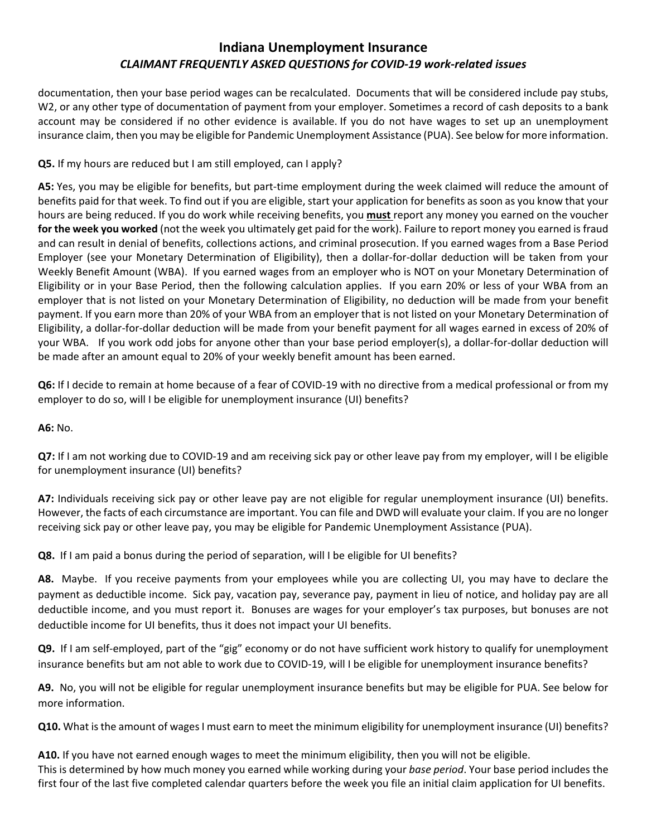documentation, then your base period wages can be recalculated. Documents that will be considered include pay stubs, W2, or any other type of documentation of payment from your employer. Sometimes a record of cash deposits to a bank account may be considered if no other evidence is available. If you do not have wages to set up an unemployment insurance claim, then you may be eligible for Pandemic Unemployment Assistance (PUA). See below for more information.

#### **Q5.** If my hours are reduced but I am still employed, can I apply?

**A5:** Yes, you may be eligible for benefits, but part-time employment during the week claimed will reduce the amount of benefits paid for that week. To find out if you are eligible, start your application for benefits as soon as you know that your hours are being reduced. If you do work while receiving benefits, you **must** report any money you earned on the voucher **for the week you worked** (not the week you ultimately get paid for the work). Failure to report money you earned is fraud and can result in denial of benefits, collections actions, and criminal prosecution. If you earned wages from a Base Period Employer (see your Monetary Determination of Eligibility), then a dollar-for-dollar deduction will be taken from your Weekly Benefit Amount (WBA). If you earned wages from an employer who is NOT on your Monetary Determination of Eligibility or in your Base Period, then the following calculation applies. If you earn 20% or less of your WBA from an employer that is not listed on your Monetary Determination of Eligibility, no deduction will be made from your benefit payment. If you earn more than 20% of your WBA from an employer that is not listed on your Monetary Determination of Eligibility, a dollar-for-dollar deduction will be made from your benefit payment for all wages earned in excess of 20% of your WBA. If you work odd jobs for anyone other than your base period employer(s), a dollar-for-dollar deduction will be made after an amount equal to 20% of your weekly benefit amount has been earned.

**Q6:** If I decide to remain at home because of a fear of COVID-19 with no directive from a medical professional or from my employer to do so, will I be eligible for unemployment insurance (UI) benefits?

**A6:** No.

**Q7:** If I am not working due to COVID-19 and am receiving sick pay or other leave pay from my employer, will I be eligible for unemployment insurance (UI) benefits?

**A7:** Individuals receiving sick pay or other leave pay are not eligible for regular unemployment insurance (UI) benefits. However, the facts of each circumstance are important. You can file and DWD will evaluate your claim. If you are no longer receiving sick pay or other leave pay, you may be eligible for Pandemic Unemployment Assistance (PUA).

**Q8.** If I am paid a bonus during the period of separation, will I be eligible for UI benefits?

**A8.** Maybe. If you receive payments from your employees while you are collecting UI, you may have to declare the payment as deductible income. Sick pay, vacation pay, severance pay, payment in lieu of notice, and holiday pay are all deductible income, and you must report it. Bonuses are wages for your employer's tax purposes, but bonuses are not deductible income for UI benefits, thus it does not impact your UI benefits.

**Q9.** If I am self-employed, part of the "gig" economy or do not have sufficient work history to qualify for unemployment insurance benefits but am not able to work due to COVID-19, will I be eligible for unemployment insurance benefits?

**A9.** No, you will not be eligible for regular unemployment insurance benefits but may be eligible for PUA. See below for more information.

**Q10.** What is the amount of wages I must earn to meet the minimum eligibility for unemployment insurance (UI) benefits?

**A10.** If you have not earned enough wages to meet the minimum eligibility, then you will not be eligible. This is determined by how much money you earned while working during your *base period*. Your base period includes the first four of the last five completed calendar quarters before the week you file an initial claim application for UI benefits.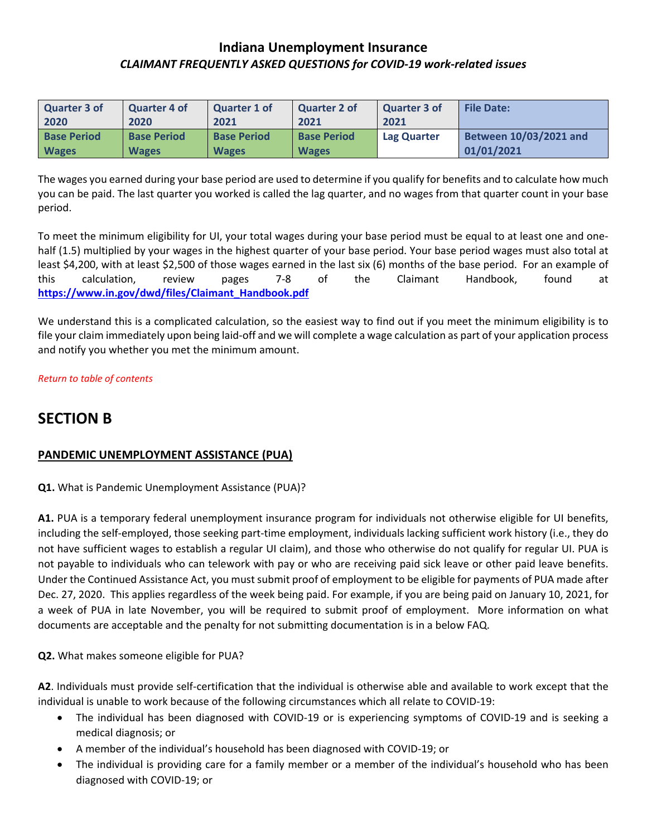| <b>Quarter 3 of</b> | Quarter 4 of       | Quarter 1 of       | <b>Quarter 2 of</b> | <b>Quarter 3 of</b> | <b>File Date:</b>      |
|---------------------|--------------------|--------------------|---------------------|---------------------|------------------------|
| 2020                | 2020               | 2021               | 2021                | 2021                |                        |
| <b>Base Period</b>  | <b>Base Period</b> | <b>Base Period</b> | <b>Base Period</b>  | <b>Lag Quarter</b>  | Between 10/03/2021 and |
| <b>Wages</b>        | <b>Wages</b>       | <b>Wages</b>       | <b>Wages</b>        |                     | 01/01/2021             |

The wages you earned during your base period are used to determine if you qualify for benefits and to calculate how much you can be paid. The last quarter you worked is called the lag quarter, and no wages from that quarter count in your base period.

To meet the minimum eligibility for UI, your total wages during your base period must be equal to at least one and onehalf (1.5) multiplied by your wages in the highest quarter of your base period. Your base period wages must also total at least \$4,200, with at least \$2,500 of those wages earned in the last six (6) months of the base period. For an example of this calculation, review pages 7-8 of the Claimant Handbook, found at **[https://www.in.gov/dwd/files/Claimant\\_Handbook.pdf](https://www.in.gov/dwd/files/Claimant_Handbook.pdf)**

We understand this is a complicated calculation, so the easiest way to find out if you meet the minimum eligibility is to file your claim immediately upon being laid-off and we will complete a wage calculation as part of your application process and notify you whether you met the minimum amount.

#### *[Return to table of contents](#page-0-0)*

# <span id="page-4-0"></span>**SECTION B**

#### **PANDEMIC UNEMPLOYMENT ASSISTANCE (PUA)**

**Q1.** What is Pandemic Unemployment Assistance (PUA)?

**A1.** PUA is a temporary federal unemployment insurance program for individuals not otherwise eligible for UI benefits, including the self-employed, those seeking part-time employment, individuals lacking sufficient work history (i.e., they do not have sufficient wages to establish a regular UI claim), and those who otherwise do not qualify for regular UI. PUA is not payable to individuals who can telework with pay or who are receiving paid sick leave or other paid leave benefits. Under the Continued Assistance Act, you must submit proof of employment to be eligible for payments of PUA made after Dec. 27, 2020. This applies regardless of the week being paid. For example, if you are being paid on January 10, 2021, for a week of PUA in late November, you will be required to submit proof of employment. More information on what documents are acceptable and the penalty for not submitting documentation is in a below FAQ.

#### **Q2.** What makes someone eligible for PUA?

**A2**. Individuals must provide self-certification that the individual is otherwise able and available to work except that the individual is unable to work because of the following circumstances which all relate to COVID-19:

- The individual has been diagnosed with COVID-19 or is experiencing symptoms of COVID-19 and is seeking a medical diagnosis; or
- A member of the individual's household has been diagnosed with COVID-19; or
- The individual is providing care for a family member or a member of the individual's household who has been diagnosed with COVID-19; or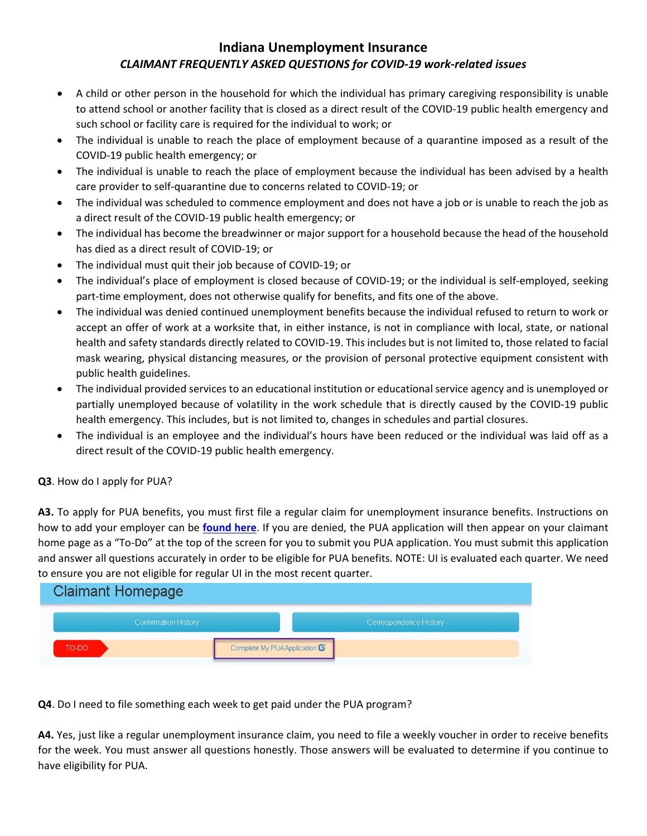- A child or other person in the household for which the individual has primary caregiving responsibility is unable to attend school or another facility that is closed as a direct result of the COVID-19 public health emergency and such school or facility care is required for the individual to work; or
- The individual is unable to reach the place of employment because of a quarantine imposed as a result of the COVID-19 public health emergency; or
- The individual is unable to reach the place of employment because the individual has been advised by a health care provider to self-quarantine due to concerns related to COVID-19; or
- The individual was scheduled to commence employment and does not have a job or is unable to reach the job as a direct result of the COVID-19 public health emergency; or
- The individual has become the breadwinner or major support for a household because the head of the household has died as a direct result of COVID-19; or
- The individual must quit their job because of COVID-19; or
- The individual's place of employment is closed because of COVID-19; or the individual is self-employed, seeking part-time employment, does not otherwise qualify for benefits, and fits one of the above.
- The individual was denied continued unemployment benefits because the individual refused to return to work or accept an offer of work at a worksite that, in either instance, is not in compliance with local, state, or national health and safety standards directly related to COVID-19. This includes but is not limited to, those related to facial mask wearing, physical distancing measures, or the provision of personal protective equipment consistent with public health guidelines.
- The individual provided services to an educational institution or educational service agency and is unemployed or partially unemployed because of volatility in the work schedule that is directly caused by the COVID-19 public health emergency. This includes, but is not limited to, changes in schedules and partial closures.
- The individual is an employee and the individual's hours have been reduced or the individual was laid off as a direct result of the COVID-19 public health emergency.

#### **Q3**. How do I apply for PUA?

**A3.** To apply for PUA benefits, you must first file a regular claim for unemployment insurance benefits. Instructions on how to add your employer can be **[found here](https://www.in.gov/dwd/files/Uplink_Self-employment_Add_Indiana_Employer_Instructions.pdf)**. If you are denied, the PUA application will then appear on your claimant home page as a "To-Do" at the top of the screen for you to submit you PUA application. You must submit this application and answer all questions accurately in order to be eligible for PUA benefits. NOTE: UI is evaluated each quarter. We need to ensure you are not eligible for regular UI in the most recent quarter.



**Q4**. Do I need to file something each week to get paid under the PUA program?

**A4.** Yes, just like a regular unemployment insurance claim, you need to file a weekly voucher in order to receive benefits for the week. You must answer all questions honestly. Those answers will be evaluated to determine if you continue to have eligibility for PUA.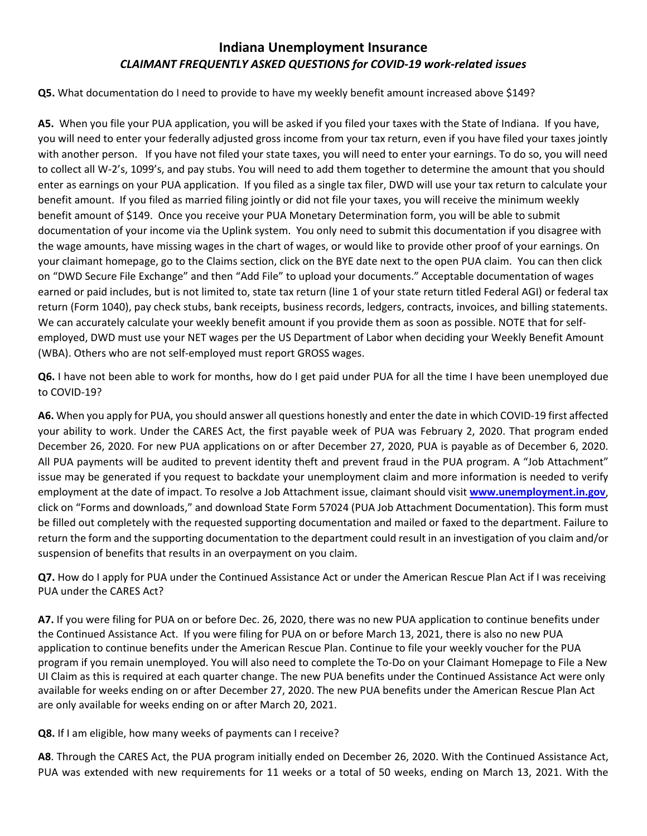**Q5.** What documentation do I need to provide to have my weekly benefit amount increased above \$149?

**A5.** When you file your PUA application, you will be asked if you filed your taxes with the State of Indiana. If you have, you will need to enter your federally adjusted gross income from your tax return, even if you have filed your taxes jointly with another person. If you have not filed your state taxes, you will need to enter your earnings. To do so, you will need to collect all W-2's, 1099's, and pay stubs. You will need to add them together to determine the amount that you should enter as earnings on your PUA application. If you filed as a single tax filer, DWD will use your tax return to calculate your benefit amount. If you filed as married filing jointly or did not file your taxes, you will receive the minimum weekly benefit amount of \$149. Once you receive your PUA Monetary Determination form, you will be able to submit documentation of your income via the Uplink system. You only need to submit this documentation if you disagree with the wage amounts, have missing wages in the chart of wages, or would like to provide other proof of your earnings. On your claimant homepage, go to the Claims section, click on the BYE date next to the open PUA claim. You can then click on "DWD Secure File Exchange" and then "Add File" to upload your documents." Acceptable documentation of wages earned or paid includes, but is not limited to, state tax return (line 1 of your state return titled Federal AGI) or federal tax return (Form 1040), pay check stubs, bank receipts, business records, ledgers, contracts, invoices, and billing statements. We can accurately calculate your weekly benefit amount if you provide them as soon as possible. NOTE that for selfemployed, DWD must use your NET wages per the US Department of Labor when deciding your Weekly Benefit Amount (WBA). Others who are not self-employed must report GROSS wages.

**Q6.** I have not been able to work for months, how do I get paid under PUA for all the time I have been unemployed due to COVID-19?

**A6.** When you apply for PUA, you should answer all questions honestly and enter the date in which COVID-19 first affected your ability to work. Under the CARES Act, the first payable week of PUA was February 2, 2020. That program ended December 26, 2020. For new PUA applications on or after December 27, 2020, PUA is payable as of December 6, 2020. All PUA payments will be audited to prevent identity theft and prevent fraud in the PUA program. A "Job Attachment" issue may be generated if you request to backdate your unemployment claim and more information is needed to verify employment at the date of impact. To resolve a Job Attachment issue, claimant should visit **[www.unemployment.in.gov](http://www.unemployment.in.gov/)**, click on "Forms and downloads," and download State Form 57024 (PUA Job Attachment Documentation). This form must be filled out completely with the requested supporting documentation and mailed or faxed to the department. Failure to return the form and the supporting documentation to the department could result in an investigation of you claim and/or suspension of benefits that results in an overpayment on you claim.

**Q7.** How do I apply for PUA under the Continued Assistance Act or under the American Rescue Plan Act if I was receiving PUA under the CARES Act?

**A7.** If you were filing for PUA on or before Dec. 26, 2020, there was no new PUA application to continue benefits under the Continued Assistance Act. If you were filing for PUA on or before March 13, 2021, there is also no new PUA application to continue benefits under the American Rescue Plan. Continue to file your weekly voucher for the PUA program if you remain unemployed. You will also need to complete the To-Do on your Claimant Homepage to File a New UI Claim as this is required at each quarter change. The new PUA benefits under the Continued Assistance Act were only available for weeks ending on or after December 27, 2020. The new PUA benefits under the American Rescue Plan Act are only available for weeks ending on or after March 20, 2021.

**Q8.** If I am eligible, how many weeks of payments can I receive?

**A8**. Through the CARES Act, the PUA program initially ended on December 26, 2020. With the Continued Assistance Act, PUA was extended with new requirements for 11 weeks or a total of 50 weeks, ending on March 13, 2021. With the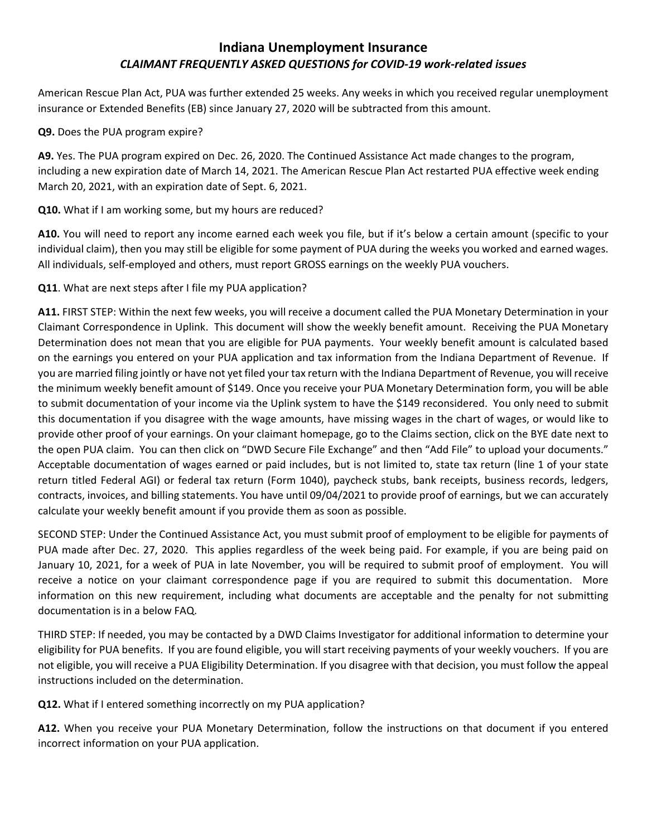American Rescue Plan Act, PUA was further extended 25 weeks. Any weeks in which you received regular unemployment insurance or Extended Benefits (EB) since January 27, 2020 will be subtracted from this amount.

#### **Q9.** Does the PUA program expire?

**A9.** Yes. The PUA program expired on Dec. 26, 2020. The Continued Assistance Act made changes to the program, including a new expiration date of March 14, 2021. The American Rescue Plan Act restarted PUA effective week ending March 20, 2021, with an expiration date of Sept. 6, 2021.

**Q10.** What if I am working some, but my hours are reduced?

**A10.** You will need to report any income earned each week you file, but if it's below a certain amount (specific to your individual claim), then you may still be eligible for some payment of PUA during the weeks you worked and earned wages. All individuals, self-employed and others, must report GROSS earnings on the weekly PUA vouchers.

**Q11**. What are next steps after I file my PUA application?

**A11.** FIRST STEP: Within the next few weeks, you will receive a document called the PUA Monetary Determination in your Claimant Correspondence in Uplink. This document will show the weekly benefit amount. Receiving the PUA Monetary Determination does not mean that you are eligible for PUA payments. Your weekly benefit amount is calculated based on the earnings you entered on your PUA application and tax information from the Indiana Department of Revenue. If you are married filing jointly or have not yet filed your tax return with the Indiana Department of Revenue, you will receive the minimum weekly benefit amount of \$149. Once you receive your PUA Monetary Determination form, you will be able to submit documentation of your income via the Uplink system to have the \$149 reconsidered. You only need to submit this documentation if you disagree with the wage amounts, have missing wages in the chart of wages, or would like to provide other proof of your earnings. On your claimant homepage, go to the Claims section, click on the BYE date next to the open PUA claim. You can then click on "DWD Secure File Exchange" and then "Add File" to upload your documents." Acceptable documentation of wages earned or paid includes, but is not limited to, state tax return (line 1 of your state return titled Federal AGI) or federal tax return (Form 1040), paycheck stubs, bank receipts, business records, ledgers, contracts, invoices, and billing statements. You have until 09/04/2021 to provide proof of earnings, but we can accurately calculate your weekly benefit amount if you provide them as soon as possible.

SECOND STEP: Under the Continued Assistance Act, you must submit proof of employment to be eligible for payments of PUA made after Dec. 27, 2020. This applies regardless of the week being paid. For example, if you are being paid on January 10, 2021, for a week of PUA in late November, you will be required to submit proof of employment. You will receive a notice on your claimant correspondence page if you are required to submit this documentation. More information on this new requirement, including what documents are acceptable and the penalty for not submitting documentation is in a below FAQ.

THIRD STEP: If needed, you may be contacted by a DWD Claims Investigator for additional information to determine your eligibility for PUA benefits. If you are found eligible, you will start receiving payments of your weekly vouchers. If you are not eligible, you will receive a PUA Eligibility Determination. If you disagree with that decision, you must follow the appeal instructions included on the determination.

**Q12.** What if I entered something incorrectly on my PUA application?

**A12.** When you receive your PUA Monetary Determination, follow the instructions on that document if you entered incorrect information on your PUA application.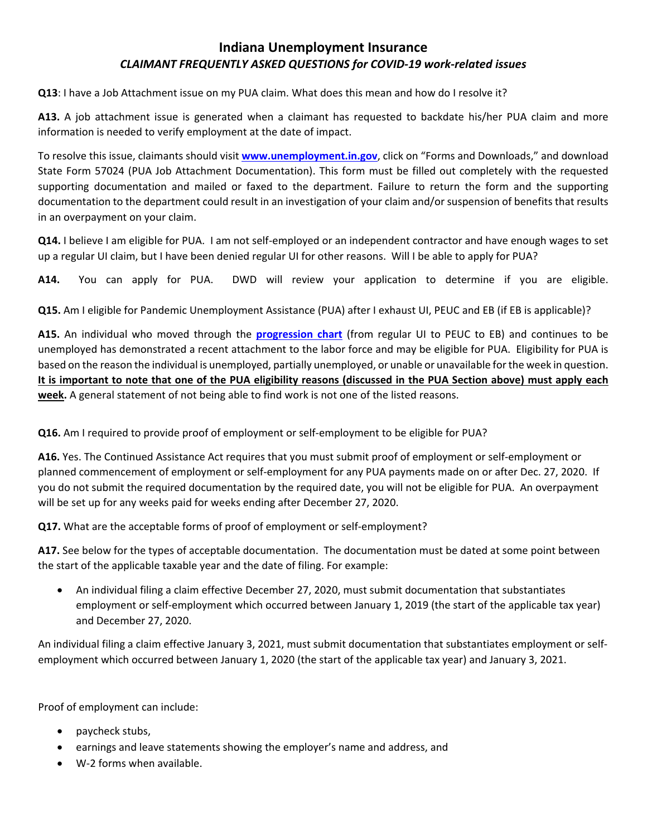**Q13**: I have a Job Attachment issue on my PUA claim. What does this mean and how do I resolve it?

**A13.** A job attachment issue is generated when a claimant has requested to backdate his/her PUA claim and more information is needed to verify employment at the date of impact.

To resolve this issue, claimants should visit **[www.unemployment.in.gov](http://www.unemployment.in.gov/)**, click on "Forms and Downloads," and download State Form 57024 (PUA Job Attachment Documentation). This form must be filled out completely with the requested supporting documentation and mailed or faxed to the department. Failure to return the form and the supporting documentation to the department could result in an investigation of your claim and/or suspension of benefits that results in an overpayment on your claim.

**Q14.** I believe I am eligible for PUA. I am not self-employed or an independent contractor and have enough wages to set up a regular UI claim, but I have been denied regular UI for other reasons. Will I be able to apply for PUA?

**A14.** You can apply for PUA. DWD will review your application to determine if you are eligible.

**Q15.** Am I eligible for Pandemic Unemployment Assistance (PUA) after I exhaust UI, PEUC and EB (if EB is applicable)?

**A15.** An individual who moved through the **[progression chart](https://oui.doleta.gov/unemploy/pdf/CARES_Act_Programs.pdf)** (from regular UI to PEUC to EB) and continues to be unemployed has demonstrated a recent attachment to the labor force and may be eligible for PUA. Eligibility for PUA is based on the reason the individual is unemployed, partially unemployed, or unable or unavailable for the week in question. **It is important to note that one of the PUA eligibility reasons (discussed in the PUA Section above) must apply each week.** A general statement of not being able to find work is not one of the listed reasons.

**Q16.** Am I required to provide proof of employment or self-employment to be eligible for PUA?

**A16.** Yes. The Continued Assistance Act requires that you must submit proof of employment or self-employment or planned commencement of employment or self-employment for any PUA payments made on or after Dec. 27, 2020. If you do not submit the required documentation by the required date, you will not be eligible for PUA. An overpayment will be set up for any weeks paid for weeks ending after December 27, 2020.

**Q17.** What are the acceptable forms of proof of employment or self-employment?

**A17.** See below for the types of acceptable documentation. The documentation must be dated at some point between the start of the applicable taxable year and the date of filing. For example:

• An individual filing a claim effective December 27, 2020, must submit documentation that substantiates employment or self-employment which occurred between January 1, 2019 (the start of the applicable tax year) and December 27, 2020.

An individual filing a claim effective January 3, 2021, must submit documentation that substantiates employment or selfemployment which occurred between January 1, 2020 (the start of the applicable tax year) and January 3, 2021.

Proof of employment can include:

- paycheck stubs,
- earnings and leave statements showing the employer's name and address, and
- W-2 forms when available.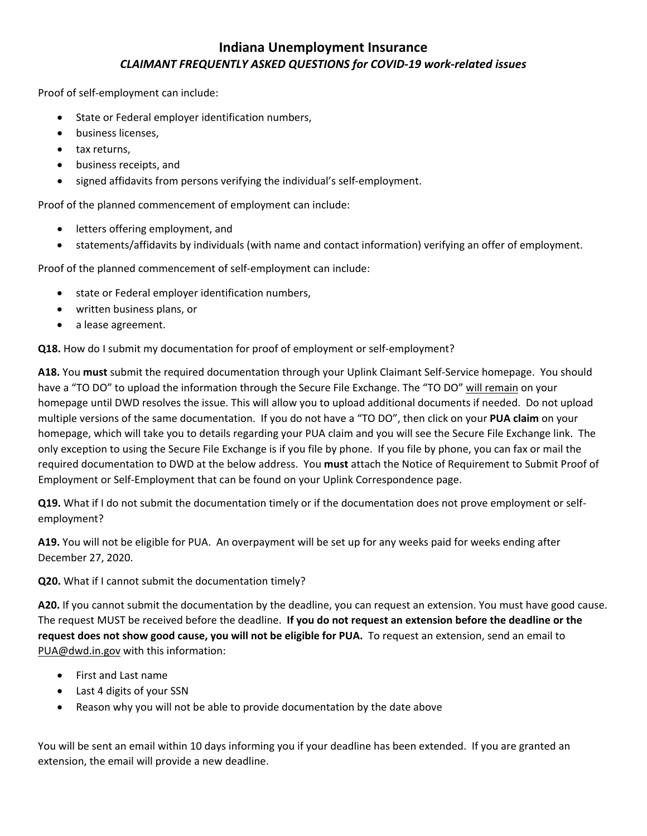Proof of self-employment can include:

- State or Federal employer identification numbers,
- business licenses,
- tax returns,
- business receipts, and
- signed affidavits from persons verifying the individual's self-employment.

Proof of the planned commencement of employment can include:

- letters offering employment, and
- statements/affidavits by individuals (with name and contact information) verifying an offer of employment.

Proof of the planned commencement of self-employment can include:

- state or Federal employer identification numbers,
- written business plans, or
- a lease agreement.

**Q18.** How do I submit my documentation for proof of employment or self-employment?

**A18.** You **must** submit the required documentation through your Uplink Claimant Self-Service homepage. You should have a "TO DO" to upload the information through the Secure File Exchange. The "TO DO" will remain on your homepage until DWD resolves the issue. This will allow you to upload additional documents if needed. Do not upload multiple versions of the same documentation. If you do not have a "TO DO", then click on your **PUA claim** on your homepage, which will take you to details regarding your PUA claim and you will see the Secure File Exchange link. The only exception to using the Secure File Exchange is if you file by phone. If you file by phone, you can fax or mail the required documentation to DWD at the below address. You **must** attach the Notice of Requirement to Submit Proof of Employment or Self-Employment that can be found on your Uplink Correspondence page.

**Q19.** What if I do not submit the documentation timely or if the documentation does not prove employment or selfemployment?

**A19.** You will not be eligible for PUA. An overpayment will be set up for any weeks paid for weeks ending after December 27, 2020.

**Q20.** What if I cannot submit the documentation timely?

**A20.** If you cannot submit the documentation by the deadline, you can request an extension. You must have good cause. The request MUST be received before the deadline. **If you do not request an extension before the deadline or the request does not show good cause, you will not be eligible for PUA.** To request an extension, send an email to [PUA@dwd.in.gov](mailto:PUA@dwd.in.gov) with this information:

- First and Last name
- Last 4 digits of your SSN
- Reason why you will not be able to provide documentation by the date above

You will be sent an email within 10 days informing you if your deadline has been extended. If you are granted an extension, the email will provide a new deadline.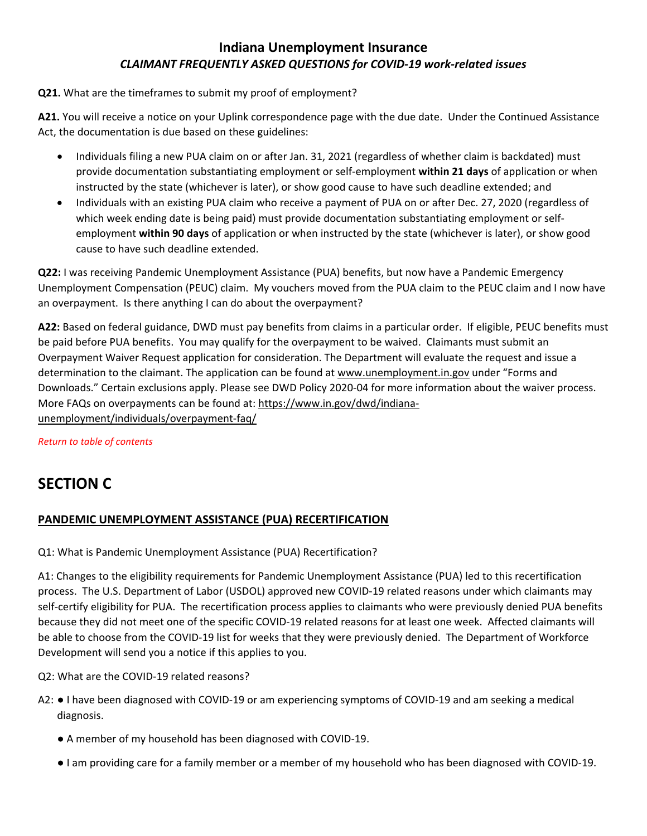#### **Q21.** What are the timeframes to submit my proof of employment?

**A21.** You will receive a notice on your Uplink correspondence page with the due date. Under the Continued Assistance Act, the documentation is due based on these guidelines:

- Individuals filing a new PUA claim on or after Jan. 31, 2021 (regardless of whether claim is backdated) must provide documentation substantiating employment or self-employment **within 21 days** of application or when instructed by the state (whichever is later), or show good cause to have such deadline extended; and
- Individuals with an existing PUA claim who receive a payment of PUA on or after Dec. 27, 2020 (regardless of which week ending date is being paid) must provide documentation substantiating employment or selfemployment **within 90 days** of application or when instructed by the state (whichever is later), or show good cause to have such deadline extended.

**Q22:** I was receiving Pandemic Unemployment Assistance (PUA) benefits, but now have a Pandemic Emergency Unemployment Compensation (PEUC) claim. My vouchers moved from the PUA claim to the PEUC claim and I now have an overpayment. Is there anything I can do about the overpayment?

**A22:** Based on federal guidance, DWD must pay benefits from claims in a particular order. If eligible, PEUC benefits must be paid before PUA benefits. You may qualify for the overpayment to be waived. Claimants must submit an Overpayment Waiver Request application for consideration. The Department will evaluate the request and issue a determination to the claimant. The application can be found at [www.unemployment.in.gov](http://www.unemployment.in.gov/) under "Forms and Downloads." Certain exclusions apply. Please see DWD Policy 2020-04 for more information about the waiver process. More FAQs on overpayments can be found at[: https://www.in.gov/dwd/indiana](https://www.in.gov/dwd/indiana-unemployment/individuals/overpayment-faq/)[unemployment/individuals/overpayment-faq/](https://www.in.gov/dwd/indiana-unemployment/individuals/overpayment-faq/)

*[Return to table of contents](#page-0-0)*

# <span id="page-10-0"></span>**SECTION C**

#### **PANDEMIC UNEMPLOYMENT ASSISTANCE (PUA) RECERTIFICATION**

#### Q1: What is Pandemic Unemployment Assistance (PUA) Recertification?

A1: Changes to the eligibility requirements for Pandemic Unemployment Assistance (PUA) led to this recertification process. The U.S. Department of Labor (USDOL) approved new COVID-19 related reasons under which claimants may self-certify eligibility for PUA. The recertification process applies to claimants who were previously denied PUA benefits because they did not meet one of the specific COVID-19 related reasons for at least one week. Affected claimants will be able to choose from the COVID-19 list for weeks that they were previously denied. The Department of Workforce Development will send you a notice if this applies to you.

Q2: What are the COVID-19 related reasons?

- A2: I have been diagnosed with COVID-19 or am experiencing symptoms of COVID-19 and am seeking a medical diagnosis.
	- A member of my household has been diagnosed with COVID-19.
	- I am providing care for a family member or a member of my household who has been diagnosed with COVID-19.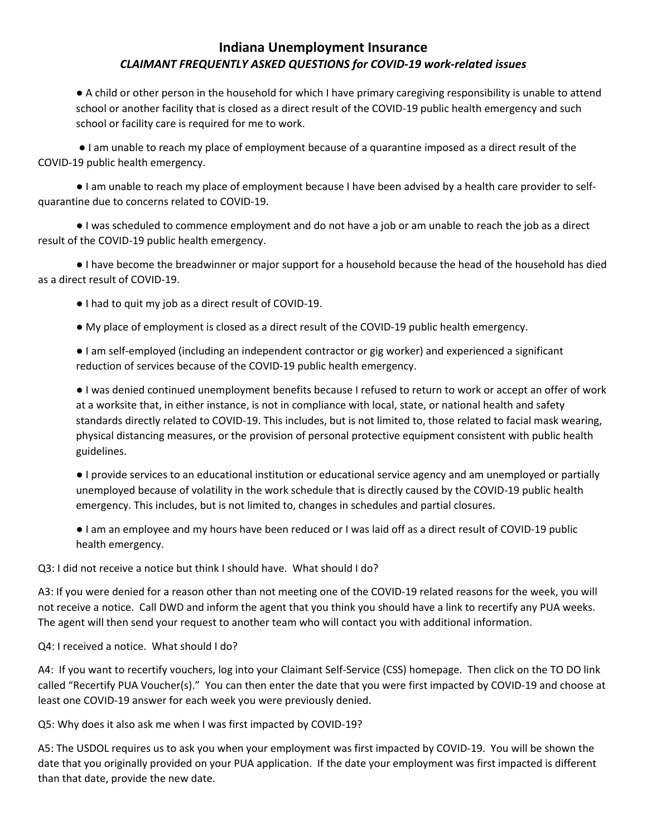● A child or other person in the household for which I have primary caregiving responsibility is unable to attend school or another facility that is closed as a direct result of the COVID-19 public health emergency and such school or facility care is required for me to work.

● I am unable to reach my place of employment because of a quarantine imposed as a direct result of the COVID-19 public health emergency.

● I am unable to reach my place of employment because I have been advised by a health care provider to selfquarantine due to concerns related to COVID-19.

● I was scheduled to commence employment and do not have a job or am unable to reach the job as a direct result of the COVID-19 public health emergency.

● I have become the breadwinner or major support for a household because the head of the household has died as a direct result of COVID-19.

- I had to quit my job as a direct result of COVID-19.
- My place of employment is closed as a direct result of the COVID-19 public health emergency.

● I am self-employed (including an independent contractor or gig worker) and experienced a significant reduction of services because of the COVID-19 public health emergency.

● I was denied continued unemployment benefits because I refused to return to work or accept an offer of work at a worksite that, in either instance, is not in compliance with local, state, or national health and safety standards directly related to COVID-19. This includes, but is not limited to, those related to facial mask wearing, physical distancing measures, or the provision of personal protective equipment consistent with public health guidelines.

● I provide services to an educational institution or educational service agency and am unemployed or partially unemployed because of volatility in the work schedule that is directly caused by the COVID-19 public health emergency. This includes, but is not limited to, changes in schedules and partial closures.

● I am an employee and my hours have been reduced or I was laid off as a direct result of COVID-19 public health emergency.

Q3: I did not receive a notice but think I should have. What should I do?

A3: If you were denied for a reason other than not meeting one of the COVID-19 related reasons for the week, you will not receive a notice. Call DWD and inform the agent that you think you should have a link to recertify any PUA weeks. The agent will then send your request to another team who will contact you with additional information.

Q4: I received a notice. What should I do?

A4: If you want to recertify vouchers, log into your Claimant Self-Service (CSS) homepage. Then click on the TO DO link called "Recertify PUA Voucher(s)." You can then enter the date that you were first impacted by COVID-19 and choose at least one COVID-19 answer for each week you were previously denied.

Q5: Why does it also ask me when I was first impacted by COVID-19?

A5: The USDOL requires us to ask you when your employment was first impacted by COVID-19. You will be shown the date that you originally provided on your PUA application. If the date your employment was first impacted is different than that date, provide the new date.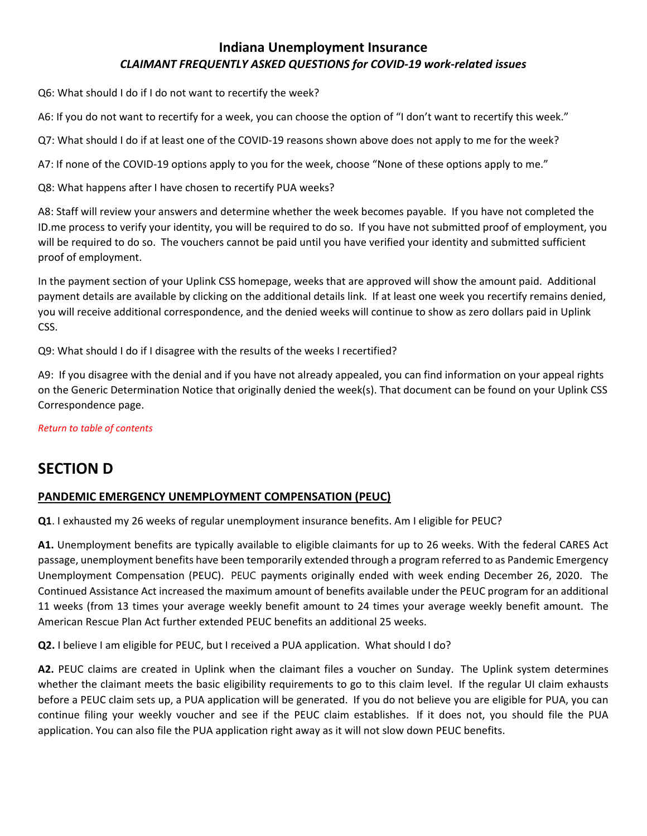Q6: What should I do if I do not want to recertify the week?

A6: If you do not want to recertify for a week, you can choose the option of "I don't want to recertify this week."

Q7: What should I do if at least one of the COVID-19 reasons shown above does not apply to me for the week?

A7: If none of the COVID-19 options apply to you for the week, choose "None of these options apply to me."

Q8: What happens after I have chosen to recertify PUA weeks?

A8: Staff will review your answers and determine whether the week becomes payable. If you have not completed the ID.me process to verify your identity, you will be required to do so. If you have not submitted proof of employment, you will be required to do so. The vouchers cannot be paid until you have verified your identity and submitted sufficient proof of employment.

In the payment section of your Uplink CSS homepage, weeks that are approved will show the amount paid. Additional payment details are available by clicking on the additional details link. If at least one week you recertify remains denied, you will receive additional correspondence, and the denied weeks will continue to show as zero dollars paid in Uplink CSS.

Q9: What should I do if I disagree with the results of the weeks I recertified?

A9: If you disagree with the denial and if you have not already appealed, you can find information on your appeal rights on the Generic Determination Notice that originally denied the week(s). That document can be found on your Uplink CSS Correspondence page.

*[Return to table of contents](#page-0-0)*

# <span id="page-12-0"></span>**SECTION D**

#### **PANDEMIC EMERGENCY UNEMPLOYMENT COMPENSATION (PEUC)**

**Q1**. I exhausted my 26 weeks of regular unemployment insurance benefits. Am I eligible for PEUC?

**A1.** Unemployment benefits are typically available to eligible claimants for up to 26 weeks. With the federal CARES Act passage, unemployment benefits have been temporarily extended through a program referred to as Pandemic Emergency Unemployment Compensation (PEUC). PEUC payments originally ended with week ending December 26, 2020. The Continued Assistance Act increased the maximum amount of benefits available under the PEUC program for an additional 11 weeks (from 13 times your average weekly benefit amount to 24 times your average weekly benefit amount. The American Rescue Plan Act further extended PEUC benefits an additional 25 weeks.

**Q2.** I believe I am eligible for PEUC, but I received a PUA application. What should I do?

**A2.** PEUC claims are created in Uplink when the claimant files a voucher on Sunday. The Uplink system determines whether the claimant meets the basic eligibility requirements to go to this claim level. If the regular UI claim exhausts before a PEUC claim sets up, a PUA application will be generated. If you do not believe you are eligible for PUA, you can continue filing your weekly voucher and see if the PEUC claim establishes. If it does not, you should file the PUA application. You can also file the PUA application right away as it will not slow down PEUC benefits.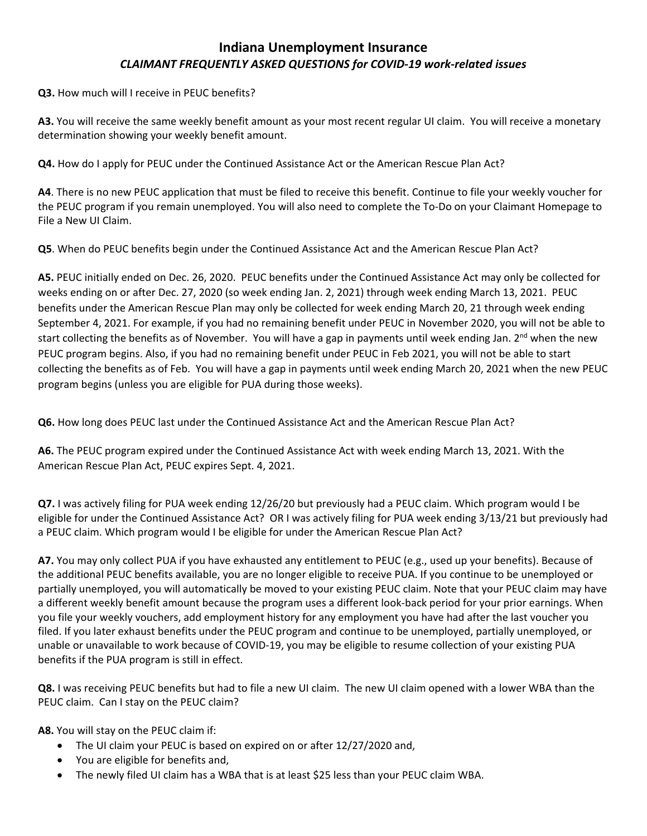**Q3.** How much will I receive in PEUC benefits?

**A3.** You will receive the same weekly benefit amount as your most recent regular UI claim. You will receive a monetary determination showing your weekly benefit amount.

**Q4.** How do I apply for PEUC under the Continued Assistance Act or the American Rescue Plan Act?

**A4**. There is no new PEUC application that must be filed to receive this benefit. Continue to file your weekly voucher for the PEUC program if you remain unemployed. You will also need to complete the To-Do on your Claimant Homepage to File a New UI Claim.

**Q5**. When do PEUC benefits begin under the Continued Assistance Act and the American Rescue Plan Act?

**A5.** PEUC initially ended on Dec. 26, 2020. PEUC benefits under the Continued Assistance Act may only be collected for weeks ending on or after Dec. 27, 2020 (so week ending Jan. 2, 2021) through week ending March 13, 2021. PEUC benefits under the American Rescue Plan may only be collected for week ending March 20, 21 through week ending September 4, 2021. For example, if you had no remaining benefit under PEUC in November 2020, you will not be able to start collecting the benefits as of November. You will have a gap in payments until week ending Jan.  $2^{nd}$  when the new PEUC program begins. Also, if you had no remaining benefit under PEUC in Feb 2021, you will not be able to start collecting the benefits as of Feb. You will have a gap in payments until week ending March 20, 2021 when the new PEUC program begins (unless you are eligible for PUA during those weeks).

**Q6.** How long does PEUC last under the Continued Assistance Act and the American Rescue Plan Act?

**A6.** The PEUC program expired under the Continued Assistance Act with week ending March 13, 2021. With the American Rescue Plan Act, PEUC expires Sept. 4, 2021.

**Q7.** I was actively filing for PUA week ending 12/26/20 but previously had a PEUC claim. Which program would I be eligible for under the Continued Assistance Act? OR I was actively filing for PUA week ending 3/13/21 but previously had a PEUC claim. Which program would I be eligible for under the American Rescue Plan Act?

**A7.** You may only collect PUA if you have exhausted any entitlement to PEUC (e.g., used up your benefits). Because of the additional PEUC benefits available, you are no longer eligible to receive PUA. If you continue to be unemployed or partially unemployed, you will automatically be moved to your existing PEUC claim. Note that your PEUC claim may have a different weekly benefit amount because the program uses a different look-back period for your prior earnings. When you file your weekly vouchers, add employment history for any employment you have had after the last voucher you filed. If you later exhaust benefits under the PEUC program and continue to be unemployed, partially unemployed, or unable or unavailable to work because of COVID-19, you may be eligible to resume collection of your existing PUA benefits if the PUA program is still in effect.

**Q8.** I was receiving PEUC benefits but had to file a new UI claim. The new UI claim opened with a lower WBA than the PEUC claim. Can I stay on the PEUC claim?

**A8.** You will stay on the PEUC claim if:

- The UI claim your PEUC is based on expired on or after 12/27/2020 and,
- You are eligible for benefits and,
- The newly filed UI claim has a WBA that is at least \$25 less than your PEUC claim WBA.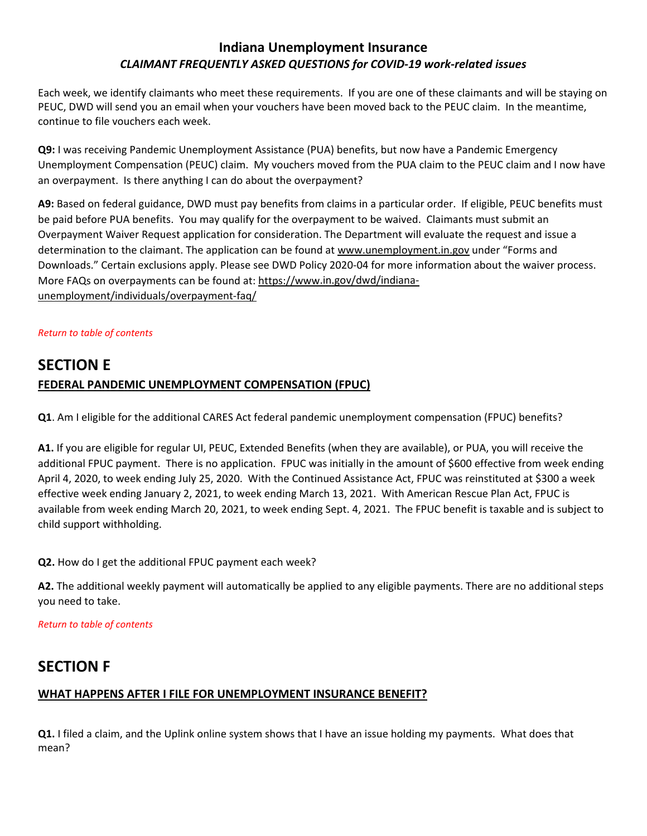Each week, we identify claimants who meet these requirements. If you are one of these claimants and will be staying on PEUC, DWD will send you an email when your vouchers have been moved back to the PEUC claim. In the meantime, continue to file vouchers each week.

**Q9:** I was receiving Pandemic Unemployment Assistance (PUA) benefits, but now have a Pandemic Emergency Unemployment Compensation (PEUC) claim. My vouchers moved from the PUA claim to the PEUC claim and I now have an overpayment. Is there anything I can do about the overpayment?

**A9:** Based on federal guidance, DWD must pay benefits from claims in a particular order. If eligible, PEUC benefits must be paid before PUA benefits. You may qualify for the overpayment to be waived. Claimants must submit an Overpayment Waiver Request application for consideration. The Department will evaluate the request and issue a determination to the claimant. The application can be found a[t www.unemployment.in.gov](http://www.unemployment.in.gov/) under "Forms and Downloads." Certain exclusions apply. Please see DWD Policy 2020-04 for more information about the waiver process. More FAQs on overpayments can be found at[: https://www.in.gov/dwd/indiana](https://www.in.gov/dwd/indiana-unemployment/individuals/overpayment-faq/)[unemployment/individuals/overpayment-faq/](https://www.in.gov/dwd/indiana-unemployment/individuals/overpayment-faq/)

#### *[Return to table of contents](#page-0-0)*

# <span id="page-14-0"></span>**SECTION E FEDERAL PANDEMIC UNEMPLOYMENT COMPENSATION (FPUC)**

**Q1**. Am I eligible for the additional CARES Act federal pandemic unemployment compensation (FPUC) benefits?

**A1.** If you are eligible for regular UI, PEUC, Extended Benefits (when they are available), or PUA, you will receive the additional FPUC payment. There is no application. FPUC was initially in the amount of \$600 effective from week ending April 4, 2020, to week ending July 25, 2020. With the Continued Assistance Act, FPUC was reinstituted at \$300 a week effective week ending January 2, 2021, to week ending March 13, 2021. With American Rescue Plan Act, FPUC is available from week ending March 20, 2021, to week ending Sept. 4, 2021. The FPUC benefit is taxable and is subject to child support withholding.

**Q2.** How do I get the additional FPUC payment each week?

**A2.** The additional weekly payment will automatically be applied to any eligible payments. There are no additional steps you need to take.

*[Return to table of contents](#page-0-0)*

# **SECTION F**

#### **WHAT HAPPENS AFTER I FILE FOR UNEMPLOYMENT INSURANCE BENEFIT?**

**Q1.** I filed a claim, and the Uplink online system shows that I have an issue holding my payments. What does that mean?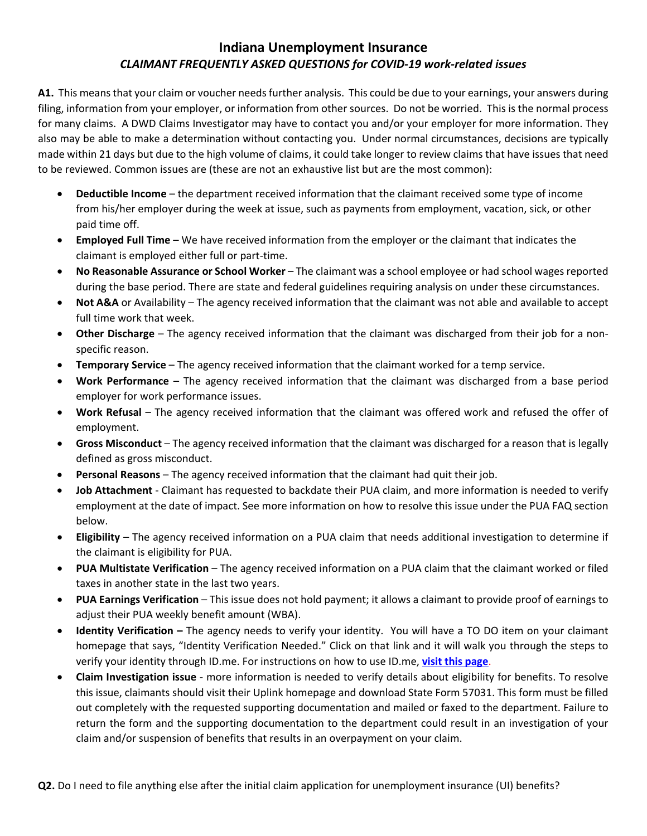**A1.** This means that your claim or voucher needs further analysis. This could be due to your earnings, your answers during filing, information from your employer, or information from other sources. Do not be worried. This is the normal process for many claims. A DWD Claims Investigator may have to contact you and/or your employer for more information. They also may be able to make a determination without contacting you. Under normal circumstances, decisions are typically made within 21 days but due to the high volume of claims, it could take longer to review claims that have issues that need to be reviewed. Common issues are (these are not an exhaustive list but are the most common):

- **Deductible Income** the department received information that the claimant received some type of income from his/her employer during the week at issue, such as payments from employment, vacation, sick, or other paid time off.
- **Employed Full Time** We have received information from the employer or the claimant that indicates the claimant is employed either full or part-time.
- **No Reasonable Assurance or School Worker** The claimant was a school employee or had school wages reported during the base period. There are state and federal guidelines requiring analysis on under these circumstances.
- **Not A&A** or Availability The agency received information that the claimant was not able and available to accept full time work that week.
- **Other Discharge** The agency received information that the claimant was discharged from their job for a nonspecific reason.
- **Temporary Service** The agency received information that the claimant worked for a temp service.
- **Work Performance**  The agency received information that the claimant was discharged from a base period employer for work performance issues.
- **Work Refusal**  The agency received information that the claimant was offered work and refused the offer of employment.
- **Gross Misconduct**  The agency received information that the claimant was discharged for a reason that is legally defined as gross misconduct.
- **Personal Reasons** The agency received information that the claimant had quit their job.
- **Job Attachment** Claimant has requested to backdate their PUA claim, and more information is needed to verify employment at the date of impact. See more information on how to resolve this issue under the PUA FAQ section below.
- **Eligibility** The agency received information on a PUA claim that needs additional investigation to determine if the claimant is eligibility for PUA.
- **PUA Multistate Verification** The agency received information on a PUA claim that the claimant worked or filed taxes in another state in the last two years.
- **PUA Earnings Verification** This issue does not hold payment; it allows a claimant to provide proof of earnings to adjust their PUA weekly benefit amount (WBA).
- **Identity Verification** The agency needs to verify your identity. You will have a TO DO item on your claimant homepage that says, "Identity Verification Needed." Click on that link and it will walk you through the steps to verify your identity through ID.me. For instructions on how to use ID.me, **[visit this page](https://www.in.gov/dwd/indiana-unemployment/fraud/id.me/)**.
- **Claim Investigation issue** more information is needed to verify details about eligibility for benefits. To resolve this issue, claimants should visit their Uplink homepage and download State Form 57031. This form must be filled out completely with the requested supporting documentation and mailed or faxed to the department. Failure to return the form and the supporting documentation to the department could result in an investigation of your claim and/or suspension of benefits that results in an overpayment on your claim.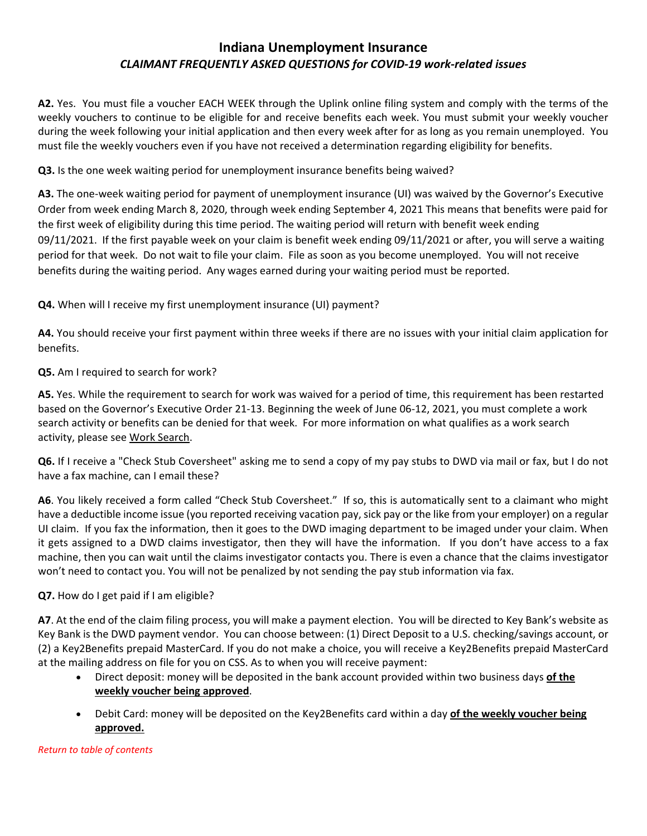**A2.** Yes. You must file a voucher EACH WEEK through the Uplink online filing system and comply with the terms of the weekly vouchers to continue to be eligible for and receive benefits each week. You must submit your weekly voucher during the week following your initial application and then every week after for as long as you remain unemployed. You must file the weekly vouchers even if you have not received a determination regarding eligibility for benefits.

**Q3.** Is the one week waiting period for unemployment insurance benefits being waived?

**A3.** The one-week waiting period for payment of unemployment insurance (UI) was waived by the Governor's Executive Order from week ending March 8, 2020, through week ending September 4, 2021 This means that benefits were paid for the first week of eligibility during this time period. The waiting period will return with benefit week ending 09/11/2021. If the first payable week on your claim is benefit week ending 09/11/2021 or after, you will serve a waiting period for that week. Do not wait to file your claim. File as soon as you become unemployed. You will not receive benefits during the waiting period. Any wages earned during your waiting period must be reported.

**Q4.** When will I receive my first unemployment insurance (UI) payment?

**A4.** You should receive your first payment within three weeks if there are no issues with your initial claim application for benefits.

**Q5.** Am I required to search for work?

**A5.** Yes. While the requirement to search for work was waived for a period of time, this requirement has been restarted based on the Governor's Executive Order 21-13. Beginning the week of June 06-12, 2021, you must complete a work search activity or benefits can be denied for that week. For more information on what qualifies as a work search activity, please se[e Work Search.](https://www.in.gov/dwd/indiana-unemployment/individuals/work-search/)

**Q6.** If I receive a "Check Stub Coversheet" asking me to send a copy of my pay stubs to DWD via mail or fax, but I do not have a fax machine, can I email these?

**A6**. You likely received a form called "Check Stub Coversheet." If so, this is automatically sent to a claimant who might have a deductible income issue (you reported receiving vacation pay, sick pay or the like from your employer) on a regular UI claim. If you fax the information, then it goes to the DWD imaging department to be imaged under your claim. When it gets assigned to a DWD claims investigator, then they will have the information. If you don't have access to a fax machine, then you can wait until the claims investigator contacts you. There is even a chance that the claims investigator won't need to contact you. You will not be penalized by not sending the pay stub information via fax.

#### **Q7.** How do I get paid if I am eligible?

**A7**. At the end of the claim filing process, you will make a payment election. You will be directed to Key Bank's website as Key Bank is the DWD payment vendor. You can choose between: (1) Direct Deposit to a U.S. checking/savings account, or (2) a Key2Benefits prepaid MasterCard. If you do not make a choice, you will receive a Key2Benefits prepaid MasterCard at the mailing address on file for you on CSS. As to when you will receive payment:

- Direct deposit: money will be deposited in the bank account provided within two business days **of the weekly voucher being approved**.
- Debit Card: money will be deposited on the Key2Benefits card within a day **of the weekly voucher being approved.**

*[Return to table of contents](#page-0-0)*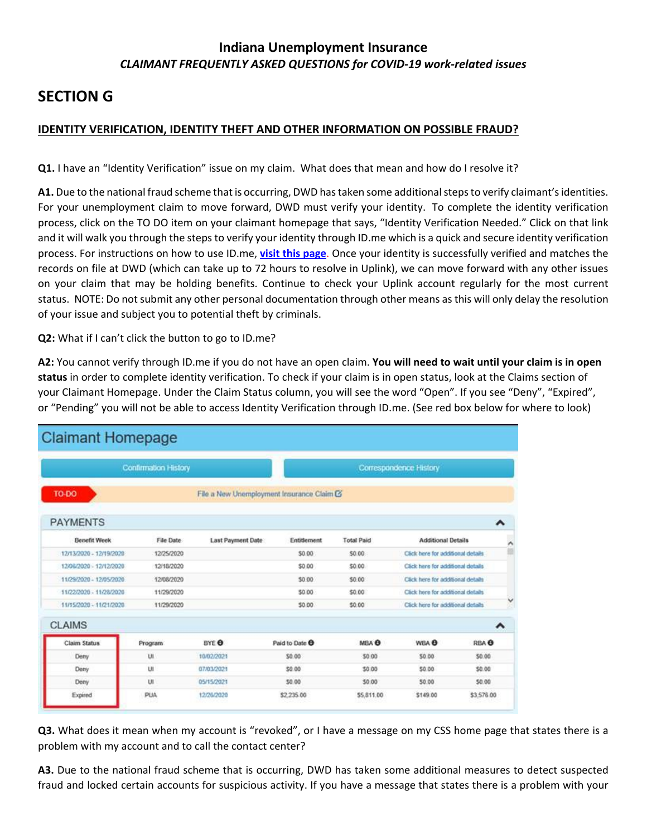# <span id="page-17-0"></span>**SECTION G**

### **IDENTITY VERIFICATION, IDENTITY THEFT AND OTHER INFORMATION ON POSSIBLE FRAUD?**

**Q1.** I have an "Identity Verification" issue on my claim. What does that mean and how do I resolve it?

**A1.** Due to the national fraud scheme that is occurring, DWD has taken some additional steps to verify claimant's identities. For your unemployment claim to move forward, DWD must verify your identity. To complete the identity verification process, click on the TO DO item on your claimant homepage that says, "Identity Verification Needed." Click on that link and it will walk you through the steps to verify your identity through ID.me which is a quick and secure identity verification process. For instructions on how to use ID.me, **[visit this page](https://www.in.gov/dwd/indiana-unemployment/fraud/id.me/)**. Once your identity is successfully verified and matches the records on file at DWD (which can take up to 72 hours to resolve in Uplink), we can move forward with any other issues on your claim that may be holding benefits. Continue to check your Uplink account regularly for the most current status. NOTE: Do not submit any other personal documentation through other means as this will only delay the resolution of your issue and subject you to potential theft by criminals.

**Q2:** What if I can't click the button to go to ID.me?

**A2:** You cannot verify through ID.me if you do not have an open claim. **You will need to wait until your claim is in open status** in order to complete identity verification. To check if your claim is in open status, look at the Claims section of your Claimant Homepage. Under the Claim Status column, you will see the word "Open". If you see "Deny", "Expired", or "Pending" you will not be able to access Identity Verification through ID.me. (See red box below for where to look)

| <b>Claimant Homepage</b> |            |                                           |                           |                   |                                    |                  |  |  |  |
|--------------------------|------------|-------------------------------------------|---------------------------|-------------------|------------------------------------|------------------|--|--|--|
| Confirmation History     |            |                                           | Correspondence History    |                   |                                    |                  |  |  |  |
| TO-DO                    |            | File a New Unemployment Insurance Claim G |                           |                   |                                    |                  |  |  |  |
| <b>PAYMENTS</b>          |            |                                           |                           |                   |                                    | ㅅ                |  |  |  |
| <b>Benefit Week</b>      | File Date  | Last Payment Date                         | Entitlement               | <b>Total Paid</b> | <b>Additional Details</b>          |                  |  |  |  |
| 12/13/2020 - 12/19/2020  | 12/25/2020 |                                           | \$0.00                    | \$0.00            | Click here for additional details  |                  |  |  |  |
| 12/06/2020 - 12/12/2020  | 12/18/2020 |                                           | \$0.00                    | \$0.00            | Click here for additional details  |                  |  |  |  |
| 11/29/2020 - 12/05/2020  | 12/08/2020 |                                           | \$0.00                    | \$0.00            | Click here for additional details  |                  |  |  |  |
| 11/22/2020 - 11/28/2020  | 11/29/2020 |                                           | \$0.00                    | \$0.00            | Click here for additional details. |                  |  |  |  |
| 11/15/2020 - 11/21/2020  | 11/29/2020 |                                           | 50.00                     | \$0.00            | Click here for additional details. |                  |  |  |  |
| <b>CLAIMS</b>            |            |                                           |                           |                   |                                    | ^                |  |  |  |
| Claim Status             | Program    | BYE <sup>O</sup>                          | Paid to Date <sup>®</sup> | MBA <sup>8</sup>  | WEA <sup>8</sup>                   | RBA <sup>®</sup> |  |  |  |
| Deny                     | UI         | 10/02/2021                                | \$0.00                    | \$0.00            | \$0.00                             | \$0.00           |  |  |  |
| Deny                     | UI         | 07/03/2021                                | \$0.00                    | \$0.00            | 50.00                              | \$0.00           |  |  |  |
| Deny                     | UI         | 05/15/2021                                | \$0.00                    | \$0.00            | 50.00                              | 50.00            |  |  |  |
| Expired                  | PUA        | 12/26/2020                                | \$2,235.00                | \$5,811.00        | \$149.00                           | \$3,576.00       |  |  |  |

**Q3.** What does it mean when my account is "revoked", or I have a message on my CSS home page that states there is a problem with my account and to call the contact center?

**A3.** Due to the national fraud scheme that is occurring, DWD has taken some additional measures to detect suspected fraud and locked certain accounts for suspicious activity. If you have a message that states there is a problem with your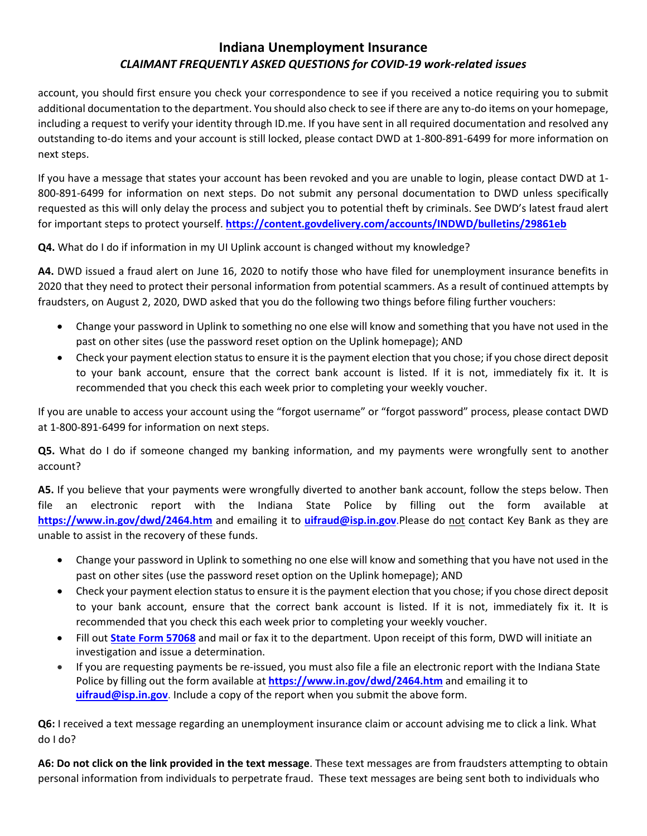account, you should first ensure you check your correspondence to see if you received a notice requiring you to submit additional documentation to the department. You should also check to see if there are any to-do items on your homepage, including a request to verify your identity through ID.me. If you have sent in all required documentation and resolved any outstanding to-do items and your account is still locked, please contact DWD at 1-800-891-6499 for more information on next steps.

If you have a message that states your account has been revoked and you are unable to login, please contact DWD at 1- 800-891-6499 for information on next steps. Do not submit any personal documentation to DWD unless specifically requested as this will only delay the process and subject you to potential theft by criminals. See DWD's latest fraud alert for important steps to protect yourself. **<https://content.govdelivery.com/accounts/INDWD/bulletins/29861eb>**

**Q4.** What do I do if information in my UI Uplink account is changed without my knowledge?

**A4.** DWD issued a fraud alert on June 16, 2020 to notify those who have filed for unemployment insurance benefits in 2020 that they need to protect their personal information from potential scammers. As a result of continued attempts by fraudsters, on August 2, 2020, DWD asked that you do the following two things before filing further vouchers:

- Change your password in Uplink to something no one else will know and something that you have not used in the past on other sites (use the password reset option on the Uplink homepage); AND
- Check your payment election status to ensure it is the payment election that you chose; if you chose direct deposit to your bank account, ensure that the correct bank account is listed. If it is not, immediately fix it. It is recommended that you check this each week prior to completing your weekly voucher.

If you are unable to access your account using the "forgot username" or "forgot password" process, please contact DWD at 1-800-891-6499 for information on next steps.

**Q5.** What do I do if someone changed my banking information, and my payments were wrongfully sent to another account?

**A5.** If you believe that your payments were wrongfully diverted to another bank account, follow the steps below. Then file an electronic report with the Indiana State Police by filling out the form available at **<https://www.in.gov/dwd/2464.htm>** and emailing it to **[uifraud@isp.in.gov](mailto:uifraud@isp.in.gov)**.Please do not contact Key Bank as they are unable to assist in the recovery of these funds.

- Change your password in Uplink to something no one else will know and something that you have not used in the past on other sites (use the password reset option on the Uplink homepage); AND
- Check your payment election status to ensure it is the payment election that you chose; if you chose direct deposit to your bank account, ensure that the correct bank account is listed. If it is not, immediately fix it. It is recommended that you check this each week prior to completing your weekly voucher.
- Fill out **[State Form 57068](https://forms.in.gov/Download.aspx?id=14850)** and mail or fax it to the department. Upon receipt of this form, DWD will initiate an investigation and issue a determination.
- If you are requesting payments be re-issued, you must also file a file an electronic report with the Indiana State Police by filling out the form available at **<https://www.in.gov/dwd/2464.htm>** and emailing it to **[uifraud@isp.in.gov](mailto:uifraud@isp.in.gov)**. Include a copy of the report when you submit the above form.

**Q6:** I received a text message regarding an unemployment insurance claim or account advising me to click a link. What do I do?

**A6: Do not click on the link provided in the text message**. These text messages are from fraudsters attempting to obtain personal information from individuals to perpetrate fraud. These text messages are being sent both to individuals who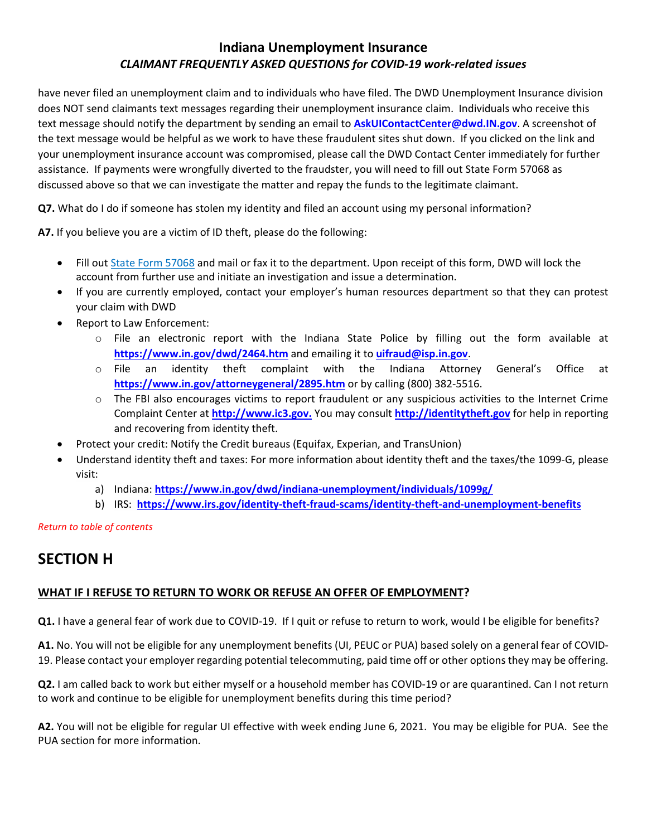have never filed an unemployment claim and to individuals who have filed. The DWD Unemployment Insurance division does NOT send claimants text messages regarding their unemployment insurance claim. Individuals who receive this text message should notify the department by sending an email to **[AskUIContactCenter@dwd.IN.gov](mailto:AskUIContactCenter@dwd.IN.gov)**. A screenshot of the text message would be helpful as we work to have these fraudulent sites shut down. If you clicked on the link and your unemployment insurance account was compromised, please call the DWD Contact Center immediately for further assistance. If payments were wrongfully diverted to the fraudster, you will need to fill out State Form 57068 as discussed above so that we can investigate the matter and repay the funds to the legitimate claimant.

**Q7.** What do I do if someone has stolen my identity and filed an account using my personal information?

**A7.** If you believe you are a victim of ID theft, please do the following:

- Fill out [State Form 57068](https://forms.in.gov/Download.aspx?id=14850) and mail or fax it to the department. Upon receipt of this form, DWD will lock the account from further use and initiate an investigation and issue a determination.
- If you are currently employed, contact your employer's human resources department so that they can protest your claim with DWD
- Report to Law Enforcement:
	- o File an electronic report with the Indiana State Police by filling out the form available at **<https://www.in.gov/dwd/2464.htm>** and emailing it to **[uifraud@isp.in.gov](mailto:uifraud@isp.in.gov)**.
	- o File an identity theft complaint with the Indiana Attorney General's Office at **<https://www.in.gov/attorneygeneral/2895.htm>** or by calling (800) 382-5516.
	- $\circ$  The FBI also encourages victims to report fraudulent or any suspicious activities to the Internet Crime Complaint Center at **[http://www.ic3.gov.](http://www.ic3.gov/)** You may consult **[http://identitytheft.gov](http://identitytheft.gov/)** for help in reporting and recovering from identity theft.
- Protect your credit: Notify the Credit bureaus (Equifax, Experian, and TransUnion)
- Understand identity theft and taxes: For more information about identity theft and the taxes/the 1099-G, please visit:
	- a) Indiana: **<https://www.in.gov/dwd/indiana-unemployment/individuals/1099g/>**
	- b) IRS: **<https://www.irs.gov/identity-theft-fraud-scams/identity-theft-and-unemployment-benefits>**

*[Return to table of contents](#page-0-0)*

# <span id="page-19-0"></span>**SECTION H**

#### **WHAT IF I REFUSE TO RETURN TO WORK OR REFUSE AN OFFER OF EMPLOYMENT?**

**Q1.** I have a general fear of work due to COVID-19. If I quit or refuse to return to work, would I be eligible for benefits?

**A1.** No. You will not be eligible for any unemployment benefits (UI, PEUC or PUA) based solely on a general fear of COVID-19. Please contact your employer regarding potential telecommuting, paid time off or other options they may be offering.

**Q2.** I am called back to work but either myself or a household member has COVID-19 or are quarantined. Can I not return to work and continue to be eligible for unemployment benefits during this time period?

**A2.** You will not be eligible for regular UI effective with week ending June 6, 2021. You may be eligible for PUA. See the PUA section for more information.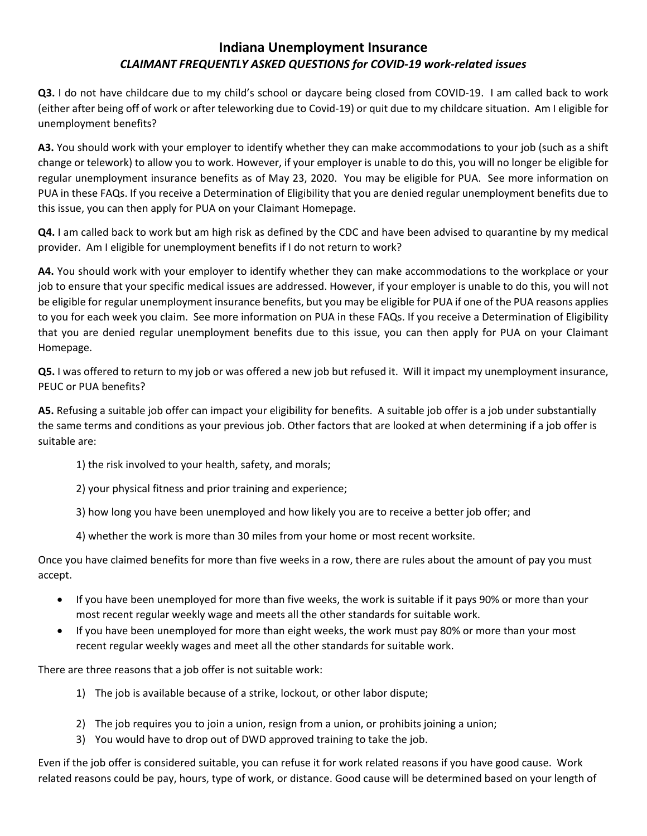**Q3.** I do not have childcare due to my child's school or daycare being closed from COVID-19. I am called back to work (either after being off of work or after teleworking due to Covid-19) or quit due to my childcare situation. Am I eligible for unemployment benefits?

**A3.** You should work with your employer to identify whether they can make accommodations to your job (such as a shift change or telework) to allow you to work. However, if your employer is unable to do this, you will no longer be eligible for regular unemployment insurance benefits as of May 23, 2020. You may be eligible for PUA. See more information on PUA in these FAQs. If you receive a Determination of Eligibility that you are denied regular unemployment benefits due to this issue, you can then apply for PUA on your Claimant Homepage.

**Q4.** I am called back to work but am high risk as defined by the CDC and have been advised to quarantine by my medical provider. Am I eligible for unemployment benefits if I do not return to work?

**A4.** You should work with your employer to identify whether they can make accommodations to the workplace or your job to ensure that your specific medical issues are addressed. However, if your employer is unable to do this, you will not be eligible for regular unemployment insurance benefits, but you may be eligible for PUA if one of the PUA reasons applies to you for each week you claim. See more information on PUA in these FAQs. If you receive a Determination of Eligibility that you are denied regular unemployment benefits due to this issue, you can then apply for PUA on your Claimant Homepage.

**Q5.** I was offered to return to my job or was offered a new job but refused it. Will it impact my unemployment insurance, PEUC or PUA benefits?

**A5.** Refusing a suitable job offer can impact your eligibility for benefits. A suitable job offer is a job under substantially the same terms and conditions as your previous job. Other factors that are looked at when determining if a job offer is suitable are:

- 1) the risk involved to your health, safety, and morals;
- 2) your physical fitness and prior training and experience;
- 3) how long you have been unemployed and how likely you are to receive a better job offer; and
- 4) whether the work is more than 30 miles from your home or most recent worksite.

Once you have claimed benefits for more than five weeks in a row, there are rules about the amount of pay you must accept.

- If you have been unemployed for more than five weeks, the work is suitable if it pays 90% or more than your most recent regular weekly wage and meets all the other standards for suitable work.
- If you have been unemployed for more than eight weeks, the work must pay 80% or more than your most recent regular weekly wages and meet all the other standards for suitable work.

There are three reasons that a job offer is not suitable work:

- 1) The job is available because of a strike, lockout, or other labor dispute;
- 2) The job requires you to join a union, resign from a union, or prohibits joining a union;
- 3) You would have to drop out of DWD approved training to take the job.

Even if the job offer is considered suitable, you can refuse it for work related reasons if you have good cause. Work related reasons could be pay, hours, type of work, or distance. Good cause will be determined based on your length of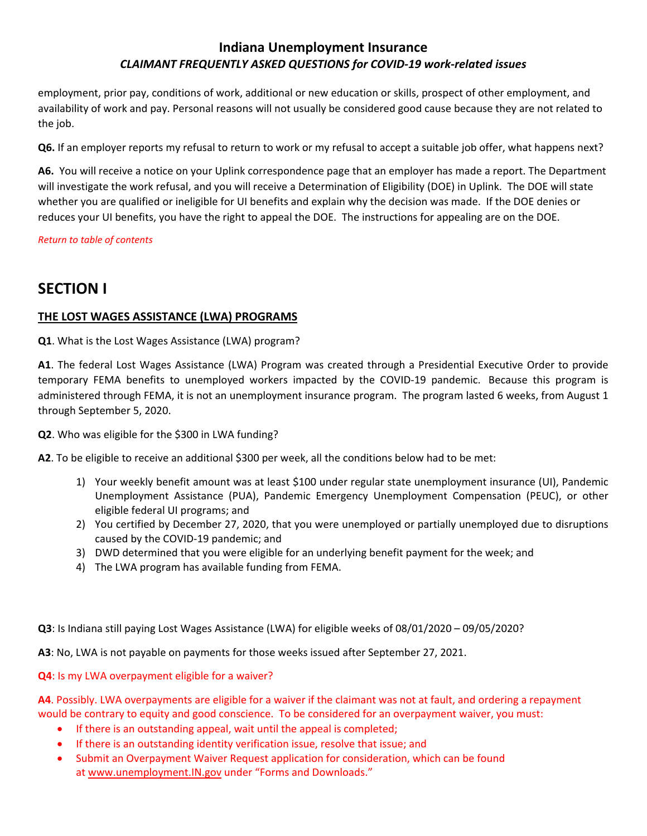employment, prior pay, conditions of work, additional or new education or skills, prospect of other employment, and availability of work and pay. Personal reasons will not usually be considered good cause because they are not related to the job.

**Q6.** If an employer reports my refusal to return to work or my refusal to accept a suitable job offer, what happens next?

**A6.** You will receive a notice on your Uplink correspondence page that an employer has made a report. The Department will investigate the work refusal, and you will receive a Determination of Eligibility (DOE) in Uplink. The DOE will state whether you are qualified or ineligible for UI benefits and explain why the decision was made. If the DOE denies or reduces your UI benefits, you have the right to appeal the DOE. The instructions for appealing are on the DOE.

#### *[Return to table of contents](#page-0-0)*

# <span id="page-21-0"></span>**SECTION I**

#### **THE LOST WAGES ASSISTANCE (LWA) PROGRAMS**

**Q1**. What is the Lost Wages Assistance (LWA) program?

**A1**. The federal Lost Wages Assistance (LWA) Program was created through a Presidential Executive Order to provide temporary FEMA benefits to unemployed workers impacted by the COVID-19 pandemic. Because this program is administered through FEMA, it is not an unemployment insurance program. The program lasted 6 weeks, from August 1 through September 5, 2020.

**Q2**. Who was eligible for the \$300 in LWA funding?

**A2**. To be eligible to receive an additional \$300 per week, all the conditions below had to be met:

- 1) Your weekly benefit amount was at least \$100 under regular state unemployment insurance (UI), Pandemic Unemployment Assistance (PUA), Pandemic Emergency Unemployment Compensation (PEUC), or other eligible federal UI programs; and
- 2) You certified by December 27, 2020, that you were unemployed or partially unemployed due to disruptions caused by the COVID-19 pandemic; and
- 3) DWD determined that you were eligible for an underlying benefit payment for the week; and
- 4) The LWA program has available funding from FEMA.

**Q3**: Is Indiana still paying Lost Wages Assistance (LWA) for eligible weeks of 08/01/2020 – 09/05/2020?

**A3**: No, LWA is not payable on payments for those weeks issued after September 27, 2021.

**Q4**: Is my LWA overpayment eligible for a waiver?

**A4**. Possibly. LWA overpayments are eligible for a waiver if the claimant was not at fault, and ordering a repayment would be contrary to equity and good conscience. To be considered for an overpayment waiver, you must:

- If there is an outstanding appeal, wait until the appeal is completed;
- If there is an outstanding identity verification issue, resolve that issue; and
- Submit an Overpayment Waiver Request application for consideration, which can be found at [www.unemployment.IN.gov](https://www.in.gov/dwd/indiana-unemployment) under "Forms and Downloads."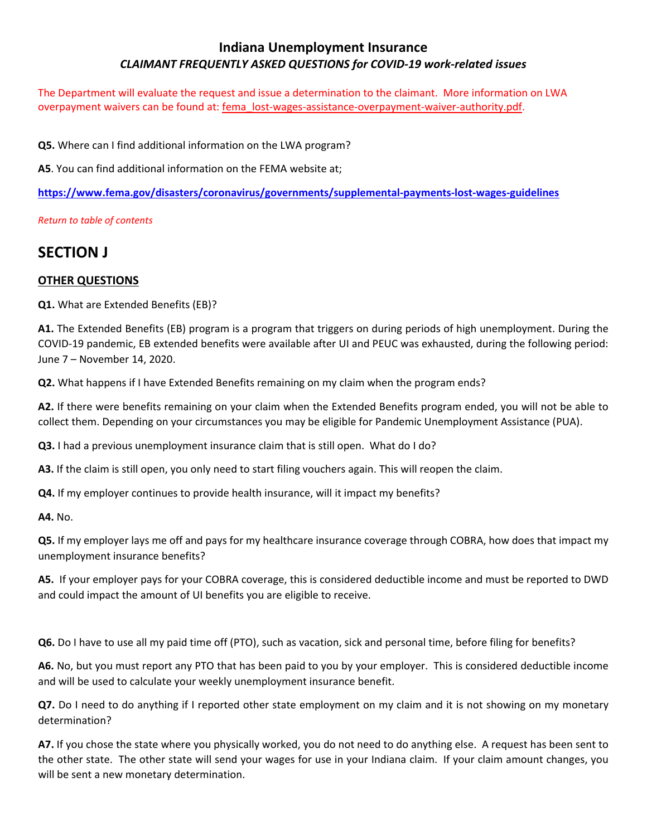The Department will evaluate the request and issue a determination to the claimant. More information on LWA overpayment waivers can be found at: [fema\\_lost-wages-assistance-overpayment-waiver-authority.pdf.](https://www.fema.gov/sites/default/files/documents/fema_lost-wages-assistance-overpayment-waiver-authority.pdf)

**Q5.** Where can I find additional information on the LWA program?

**A5**. You can find additional information on the FEMA website at;

**<https://www.fema.gov/disasters/coronavirus/governments/supplemental-payments-lost-wages-guidelines>**

*[Return to table of contents](#page-0-0)* 

# <span id="page-22-0"></span>**SECTION J**

#### **OTHER QUESTIONS**

**Q1.** What are Extended Benefits (EB)?

**A1.** The Extended Benefits (EB) program is a program that triggers on during periods of high unemployment. During the COVID-19 pandemic, EB extended benefits were available after UI and PEUC was exhausted, during the following period: June 7 – November 14, 2020.

**Q2.** What happens if I have Extended Benefits remaining on my claim when the program ends?

**A2.** If there were benefits remaining on your claim when the Extended Benefits program ended, you will not be able to collect them. Depending on your circumstances you may be eligible for Pandemic Unemployment Assistance (PUA).

**Q3.** I had a previous unemployment insurance claim that is still open. What do I do?

**A3.** If the claim is still open, you only need to start filing vouchers again. This will reopen the claim.

**Q4.** If my employer continues to provide health insurance, will it impact my benefits?

**A4.** No.

**Q5.** If my employer lays me off and pays for my healthcare insurance coverage through COBRA, how does that impact my unemployment insurance benefits?

**A5.** If your employer pays for your COBRA coverage, this is considered deductible income and must be reported to DWD and could impact the amount of UI benefits you are eligible to receive.

**Q6.** Do I have to use all my paid time off (PTO), such as vacation, sick and personal time, before filing for benefits?

**A6.** No, but you must report any PTO that has been paid to you by your employer. This is considered deductible income and will be used to calculate your weekly unemployment insurance benefit.

**Q7.** Do I need to do anything if I reported other state employment on my claim and it is not showing on my monetary determination?

**A7.** If you chose the state where you physically worked, you do not need to do anything else. A request has been sent to the other state. The other state will send your wages for use in your Indiana claim. If your claim amount changes, you will be sent a new monetary determination.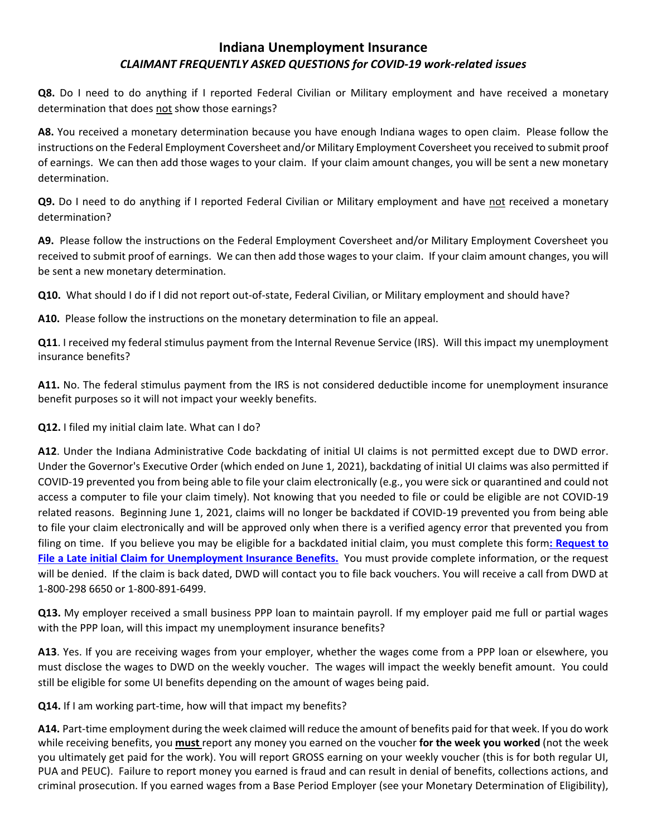**Q8.** Do I need to do anything if I reported Federal Civilian or Military employment and have received a monetary determination that does not show those earnings?

**A8.** You received a monetary determination because you have enough Indiana wages to open claim. Please follow the instructions on the Federal Employment Coversheet and/or Military Employment Coversheet you received to submit proof of earnings. We can then add those wages to your claim. If your claim amount changes, you will be sent a new monetary determination.

**Q9.** Do I need to do anything if I reported Federal Civilian or Military employment and have not received a monetary determination?

**A9.** Please follow the instructions on the Federal Employment Coversheet and/or Military Employment Coversheet you received to submit proof of earnings. We can then add those wages to your claim. If your claim amount changes, you will be sent a new monetary determination.

**Q10.** What should I do if I did not report out-of-state, Federal Civilian, or Military employment and should have?

**A10.** Please follow the instructions on the monetary determination to file an appeal.

**Q11**. I received my federal stimulus payment from the Internal Revenue Service (IRS). Will this impact my unemployment insurance benefits?

**A11.** No. The federal stimulus payment from the IRS is not considered deductible income for unemployment insurance benefit purposes so it will not impact your weekly benefits.

**Q12.** I filed my initial claim late. What can I do?

**A12**. Under the Indiana Administrative Code backdating of initial UI claims is not permitted except due to DWD error. Under the Governor's Executive Order (which ended on June 1, 2021), backdating of initial UI claims was also permitted if COVID-19 prevented you from being able to file your claim electronically (e.g., you were sick or quarantined and could not access a computer to file your claim timely). Not knowing that you needed to file or could be eligible are not COVID-19 related reasons. Beginning June 1, 2021, claims will no longer be backdated if COVID-19 prevented you from being able to file your claim electronically and will be approved only when there is a verified agency error that prevented you from filing on time. If you believe you may be eligible for a backdated initial claim, you must complete this form**[: Request to](https://forms.in.gov/Download.aspx?id=14557)  [File a Late initial Claim for Unemployment Insurance Benefits.](https://forms.in.gov/Download.aspx?id=14557)** You must provide complete information, or the request will be denied. If the claim is back dated, DWD will contact you to file back vouchers. You will receive a call from DWD at 1-800-298 6650 or 1-800-891-6499.

**Q13.** My employer received a small business PPP loan to maintain payroll. If my employer paid me full or partial wages with the PPP loan, will this impact my unemployment insurance benefits?

**A13**. Yes. If you are receiving wages from your employer, whether the wages come from a PPP loan or elsewhere, you must disclose the wages to DWD on the weekly voucher. The wages will impact the weekly benefit amount. You could still be eligible for some UI benefits depending on the amount of wages being paid.

**Q14.** If I am working part-time, how will that impact my benefits?

**A14.** Part-time employment during the week claimed will reduce the amount of benefits paid for that week. If you do work while receiving benefits, you **must** report any money you earned on the voucher **for the week you worked** (not the week you ultimately get paid for the work). You will report GROSS earning on your weekly voucher (this is for both regular UI, PUA and PEUC). Failure to report money you earned is fraud and can result in denial of benefits, collections actions, and criminal prosecution. If you earned wages from a Base Period Employer (see your Monetary Determination of Eligibility),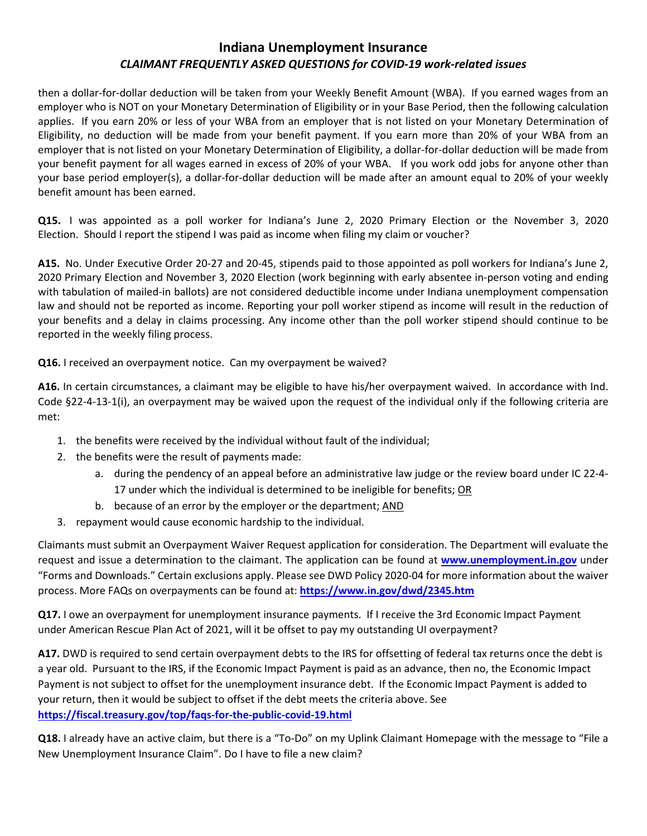then a dollar-for-dollar deduction will be taken from your Weekly Benefit Amount (WBA). If you earned wages from an employer who is NOT on your Monetary Determination of Eligibility or in your Base Period, then the following calculation applies. If you earn 20% or less of your WBA from an employer that is not listed on your Monetary Determination of Eligibility, no deduction will be made from your benefit payment. If you earn more than 20% of your WBA from an employer that is not listed on your Monetary Determination of Eligibility, a dollar-for-dollar deduction will be made from your benefit payment for all wages earned in excess of 20% of your WBA. If you work odd jobs for anyone other than your base period employer(s), a dollar-for-dollar deduction will be made after an amount equal to 20% of your weekly benefit amount has been earned.

**Q15.** I was appointed as a poll worker for Indiana's June 2, 2020 Primary Election or the November 3, 2020 Election. Should I report the stipend I was paid as income when filing my claim or voucher?

**A15.** No. Under Executive Order 20-27 and 20-45, stipends paid to those appointed as poll workers for Indiana's June 2, 2020 Primary Election and November 3, 2020 Election (work beginning with early absentee in-person voting and ending with tabulation of mailed-in ballots) are not considered deductible income under Indiana unemployment compensation law and should not be reported as income. Reporting your poll worker stipend as income will result in the reduction of your benefits and a delay in claims processing. Any income other than the poll worker stipend should continue to be reported in the weekly filing process.

**Q16.** I received an overpayment notice. Can my overpayment be waived?

**A16.** In certain circumstances, a claimant may be eligible to have his/her overpayment waived. In accordance with Ind. Code §22-4-13-1(i), an overpayment may be waived upon the request of the individual only if the following criteria are met:

- 1. the benefits were received by the individual without fault of the individual;
- 2. the benefits were the result of payments made:
	- a. during the pendency of an appeal before an administrative law judge or the review board under IC 22-4- 17 under which the individual is determined to be ineligible for benefits; OR
	- b. because of an error by the employer or the department; AND
- 3. repayment would cause economic hardship to the individual.

Claimants must submit an Overpayment Waiver Request application for consideration. The Department will evaluate the request and issue a determination to the claimant. The application can be found at **[www.unemployment.in.gov](http://www.unemployment.in.gov/)** under "Forms and Downloads." Certain exclusions apply. Please see DWD Policy 2020-04 for more information about the waiver process. More FAQs on overpayments can be found at: **<https://www.in.gov/dwd/2345.htm>**

**Q17.** I owe an overpayment for unemployment insurance payments. If I receive the 3rd Economic Impact Payment under American Rescue Plan Act of 2021, will it be offset to pay my outstanding UI overpayment?

**A17.** DWD is required to send certain overpayment debts to the IRS for offsetting of federal tax returns once the debt is a year old. Pursuant to the IRS, if the Economic Impact Payment is paid as an advance, then no, the Economic Impact Payment is not subject to offset for the unemployment insurance debt. If the Economic Impact Payment is added to your return, then it would be subject to offset if the debt meets the criteria above. See **<https://fiscal.treasury.gov/top/faqs-for-the-public-covid-19.html>**

**Q18.** I already have an active claim, but there is a "To-Do" on my Uplink Claimant Homepage with the message to "File a New Unemployment Insurance Claim". Do I have to file a new claim?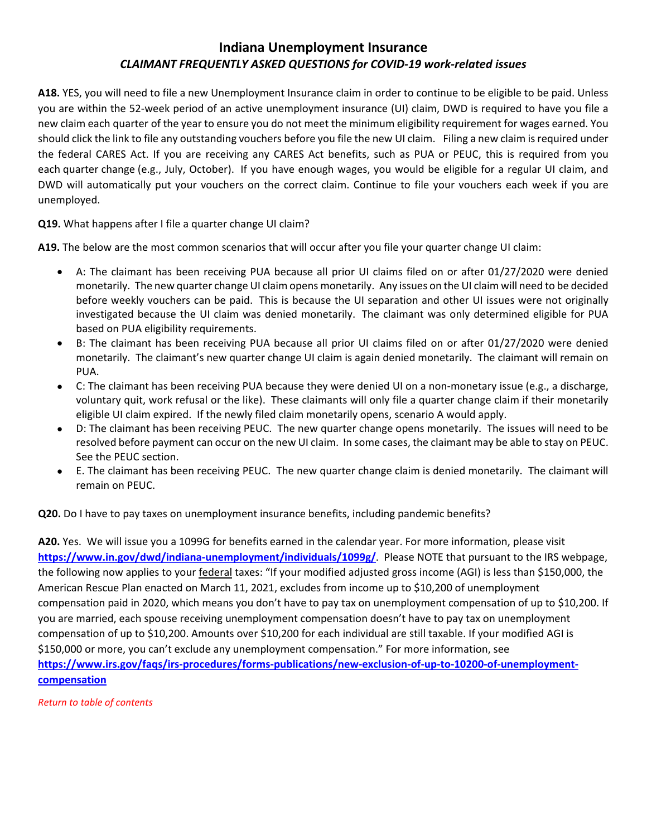**A18.** YES, you will need to file a new Unemployment Insurance claim in order to continue to be eligible to be paid. Unless you are within the 52-week period of an active unemployment insurance (UI) claim, DWD is required to have you file a new claim each quarter of the year to ensure you do not meet the minimum eligibility requirement for wages earned. You should click the link to file any outstanding vouchers before you file the new UI claim. Filing a new claim is required under the federal CARES Act. If you are receiving any CARES Act benefits, such as PUA or PEUC, this is required from you each quarter change (e.g., July, October). If you have enough wages, you would be eligible for a regular UI claim, and DWD will automatically put your vouchers on the correct claim. Continue to file your vouchers each week if you are unemployed.

**Q19.** What happens after I file a quarter change UI claim?

**A19.** The below are the most common scenarios that will occur after you file your quarter change UI claim:

- A: The claimant has been receiving PUA because all prior UI claims filed on or after 01/27/2020 were denied monetarily. The new quarter change UI claim opens monetarily. Any issues on the UI claim will need to be decided before weekly vouchers can be paid. This is because the UI separation and other UI issues were not originally investigated because the UI claim was denied monetarily. The claimant was only determined eligible for PUA based on PUA eligibility requirements.
- B: The claimant has been receiving PUA because all prior UI claims filed on or after 01/27/2020 were denied monetarily. The claimant's new quarter change UI claim is again denied monetarily. The claimant will remain on PUA.
- C: The claimant has been receiving PUA because they were denied UI on a non-monetary issue (e.g., a discharge, voluntary quit, work refusal or the like). These claimants will only file a quarter change claim if their monetarily eligible UI claim expired. If the newly filed claim monetarily opens, scenario A would apply.
- D: The claimant has been receiving PEUC. The new quarter change opens monetarily. The issues will need to be resolved before payment can occur on the new UI claim. In some cases, the claimant may be able to stay on PEUC. See the PEUC section.
- E. The claimant has been receiving PEUC. The new quarter change claim is denied monetarily. The claimant will remain on PEUC.

**Q20.** Do I have to pay taxes on unemployment insurance benefits, including pandemic benefits?

**A20.** Yes. We will issue you a 1099G for benefits earned in the calendar year. For more information, please visit **<https://www.in.gov/dwd/indiana-unemployment/individuals/1099g/>**. Please NOTE that pursuant to the IRS webpage, the following now applies to your **federal** taxes: "If your modified adjusted gross income (AGI) is less than \$150,000, the American Rescue Plan enacted on March 11, 2021, excludes from income up to \$10,200 of unemployment compensation paid in 2020, which means you don't have to pay tax on unemployment compensation of up to \$10,200. If you are married, each spouse receiving unemployment compensation doesn't have to pay tax on unemployment compensation of up to \$10,200. Amounts over \$10,200 for each individual are still taxable. If your modified AGI is \$150,000 or more, you can't exclude any unemployment compensation." For more information, see **[https://www.irs.gov/faqs/irs-procedures/forms-publications/new-exclusion-of-up-to-10200-of-unemployment](https://www.irs.gov/faqs/irs-procedures/forms-publications/new-exclusion-of-up-to-10200-of-unemployment-compensation)[compensation](https://www.irs.gov/faqs/irs-procedures/forms-publications/new-exclusion-of-up-to-10200-of-unemployment-compensation)**

<span id="page-25-0"></span>*[Return to table of contents](#page-0-0)*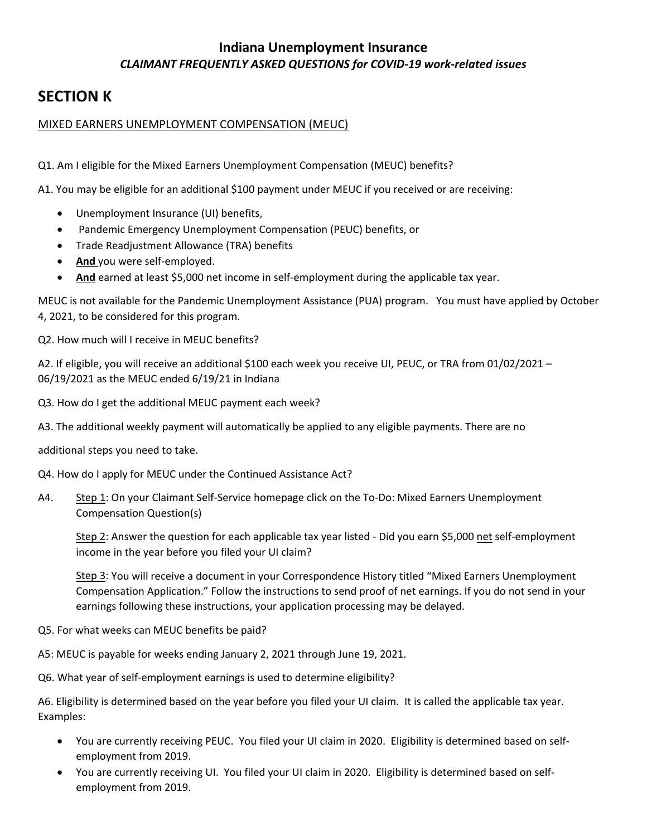# **SECTION K**

#### MIXED EARNERS UNEMPLOYMENT COMPENSATION (MEUC)

Q1. Am I eligible for the Mixed Earners Unemployment Compensation (MEUC) benefits?

A1. You may be eligible for an additional \$100 payment under MEUC if you received or are receiving:

- Unemployment Insurance (UI) benefits,
- Pandemic Emergency Unemployment Compensation (PEUC) benefits, or
- Trade Readjustment Allowance (TRA) benefits
- **And** you were self-employed.
- And earned at least \$5,000 net income in self-employment during the applicable tax year.

MEUC is not available for the Pandemic Unemployment Assistance (PUA) program. You must have applied by October 4, 2021, to be considered for this program.

Q2. How much will I receive in MEUC benefits?

A2. If eligible, you will receive an additional \$100 each week you receive UI, PEUC, or TRA from 01/02/2021 – 06/19/2021 as the MEUC ended 6/19/21 in Indiana

Q3. How do I get the additional MEUC payment each week?

A3. The additional weekly payment will automatically be applied to any eligible payments. There are no

additional steps you need to take.

Q4. How do I apply for MEUC under the Continued Assistance Act?

A4. Step 1: On your Claimant Self-Service homepage click on the To-Do: Mixed Earners Unemployment Compensation Question(s)

Step 2: Answer the question for each applicable tax year listed - Did you earn \$5,000 net self-employment income in the year before you filed your UI claim? 

Step 3: You will receive a document in your Correspondence History titled "Mixed Earners Unemployment Compensation Application." Follow the instructions to send proof of net earnings. If you do not send in your earnings following these instructions, your application processing may be delayed. 

Q5. For what weeks can MEUC benefits be paid?

A5: MEUC is payable for weeks ending January 2, 2021 through June 19, 2021.

Q6. What year of self-employment earnings is used to determine eligibility?

A6. Eligibility is determined based on the year before you filed your UI claim. It is called the applicable tax year. Examples:

- You are currently receiving PEUC. You filed your UI claim in 2020. Eligibility is determined based on selfemployment from 2019.
- You are currently receiving UI. You filed your UI claim in 2020. Eligibility is determined based on selfemployment from 2019.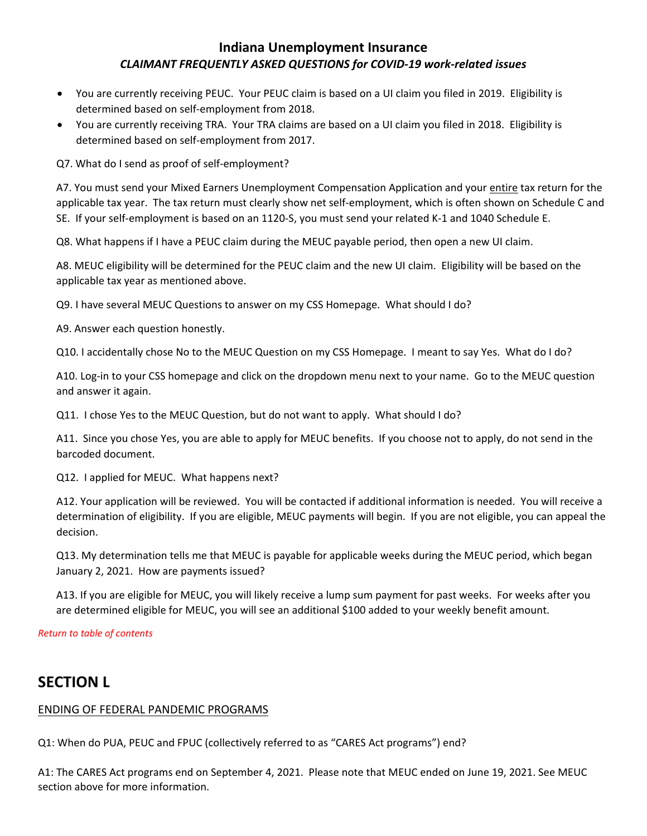- You are currently receiving PEUC. Your PEUC claim is based on a UI claim you filed in 2019. Eligibility is determined based on self-employment from 2018.
- You are currently receiving TRA. Your TRA claims are based on a UI claim you filed in 2018. Eligibility is determined based on self-employment from 2017.

Q7. What do I send as proof of self-employment?

A7. You must send your Mixed Earners Unemployment Compensation Application and your entire tax return for the applicable tax year. The tax return must clearly show net self-employment, which is often shown on Schedule C and SE. If your self-employment is based on an 1120-S, you must send your related K-1 and 1040 Schedule E.

Q8. What happens if I have a PEUC claim during the MEUC payable period, then open a new UI claim.

A8. MEUC eligibility will be determined for the PEUC claim and the new UI claim. Eligibility will be based on the applicable tax year as mentioned above.

Q9. I have several MEUC Questions to answer on my CSS Homepage. What should I do?

A9. Answer each question honestly.

Q10. I accidentally chose No to the MEUC Question on my CSS Homepage. I meant to say Yes. What do I do?

A10. Log-in to your CSS homepage and click on the dropdown menu next to your name. Go to the MEUC question and answer it again.

Q11. I chose Yes to the MEUC Question, but do not want to apply. What should I do?

A11. Since you chose Yes, you are able to apply for MEUC benefits. If you choose not to apply, do not send in the barcoded document.

Q12. I applied for MEUC. What happens next?

A12. Your application will be reviewed. You will be contacted if additional information is needed. You will receive a determination of eligibility. If you are eligible, MEUC payments will begin. If you are not eligible, you can appeal the decision.

Q13. My determination tells me that MEUC is payable for applicable weeks during the MEUC period, which began January 2, 2021. How are payments issued?

A13. If you are eligible for MEUC, you will likely receive a lump sum payment for past weeks. For weeks after you are determined eligible for MEUC, you will see an additional \$100 added to your weekly benefit amount.

#### *[Return to table of contents](#page-0-0)*

# <span id="page-27-0"></span>**SECTION L**

#### ENDING OF FEDERAL PANDEMIC PROGRAMS

Q1: When do PUA, PEUC and FPUC (collectively referred to as "CARES Act programs") end?

A1: The CARES Act programs end on September 4, 2021. Please note that MEUC ended on June 19, 2021. See MEUC section above for more information.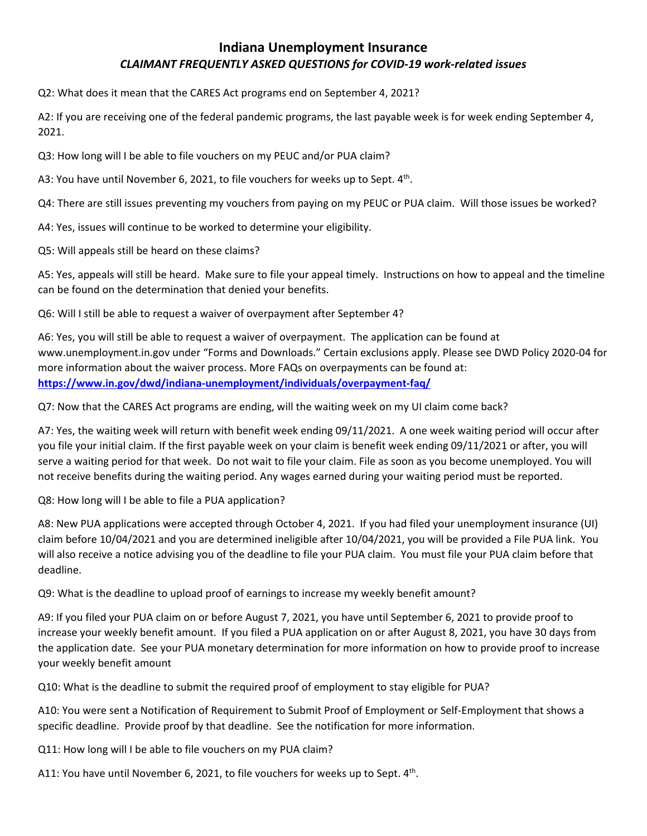Q2: What does it mean that the CARES Act programs end on September 4, 2021?

A2: If you are receiving one of the federal pandemic programs, the last payable week is for week ending September 4, 2021.

Q3: How long will I be able to file vouchers on my PEUC and/or PUA claim?

A3: You have until November 6, 2021, to file vouchers for weeks up to Sept. 4<sup>th</sup>.

Q4: There are still issues preventing my vouchers from paying on my PEUC or PUA claim. Will those issues be worked?

A4: Yes, issues will continue to be worked to determine your eligibility.

Q5: Will appeals still be heard on these claims?

A5: Yes, appeals will still be heard. Make sure to file your appeal timely. Instructions on how to appeal and the timeline can be found on the determination that denied your benefits.

Q6: Will I still be able to request a waiver of overpayment after September 4?

A6: Yes, you will still be able to request a waiver of overpayment. The application can be found at www.unemployment.in.gov under "Forms and Downloads." Certain exclusions apply. Please see DWD Policy 2020-04 for more information about the waiver process. More FAQs on overpayments can be found at: **<https://www.in.gov/dwd/indiana-unemployment/individuals/overpayment-faq/>**

Q7: Now that the CARES Act programs are ending, will the waiting week on my UI claim come back?

A7: Yes, the waiting week will return with benefit week ending 09/11/2021. A one week waiting period will occur after you file your initial claim. If the first payable week on your claim is benefit week ending 09/11/2021 or after, you will serve a waiting period for that week. Do not wait to file your claim. File as soon as you become unemployed. You will not receive benefits during the waiting period. Any wages earned during your waiting period must be reported.

Q8: How long will I be able to file a PUA application?

A8: New PUA applications were accepted through October 4, 2021. If you had filed your unemployment insurance (UI) claim before 10/04/2021 and you are determined ineligible after 10/04/2021, you will be provided a File PUA link. You will also receive a notice advising you of the deadline to file your PUA claim. You must file your PUA claim before that deadline.

Q9: What is the deadline to upload proof of earnings to increase my weekly benefit amount?

A9: If you filed your PUA claim on or before August 7, 2021, you have until September 6, 2021 to provide proof to increase your weekly benefit amount. If you filed a PUA application on or after August 8, 2021, you have 30 days from the application date. See your PUA monetary determination for more information on how to provide proof to increase your weekly benefit amount

Q10: What is the deadline to submit the required proof of employment to stay eligible for PUA?

A10: You were sent a Notification of Requirement to Submit Proof of Employment or Self-Employment that shows a specific deadline. Provide proof by that deadline. See the notification for more information.

Q11: How long will I be able to file vouchers on my PUA claim?

A11: You have until November 6, 2021, to file vouchers for weeks up to Sept.  $4<sup>th</sup>$ .